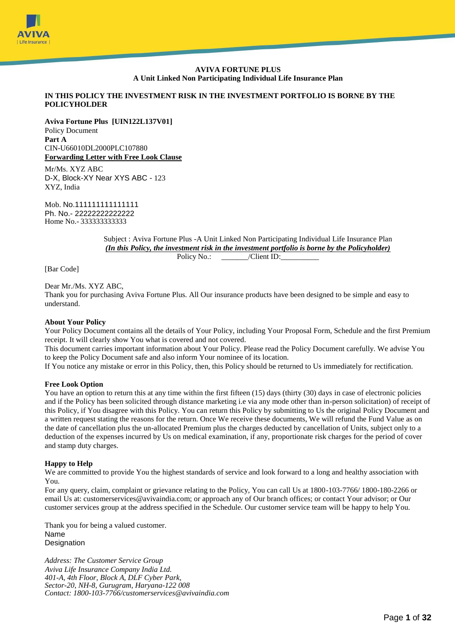

#### **AVIVA FORTUNE PLUS A Unit Linked Non Participating Individual Life Insurance Plan**

## **IN THIS POLICY THE INVESTMENT RISK IN THE INVESTMENT PORTFOLIO IS BORNE BY THE POLICYHOLDER**

**Aviva Fortune Plus [UIN122L137V01]** Policy Document **Part A** CIN-U66010DL2000PLC107880 **Forwarding Letter with Free Look Clause**

Mr/Ms. XYZ ABC D-X, Block-XY Near XYS ABC - 123 XYZ, India

Mob. No.111111111111111 Ph. No.- 22222222222222 Home No.- 333333333333

> Subject : Aviva Fortune Plus -A Unit Linked Non Participating Individual Life Insurance Plan *(In this Policy, the investment risk in the investment portfolio is borne by the Policyholder)* Policy No.: /Client ID:

[Bar Code]

Dear Mr./Ms. XYZ ABC,

Thank you for purchasing Aviva Fortune Plus. All Our insurance products have been designed to be simple and easy to understand.

#### **About Your Policy**

Your Policy Document contains all the details of Your Policy, including Your Proposal Form, Schedule and the first Premium receipt. It will clearly show You what is covered and not covered.

This document carries important information about Your Policy. Please read the Policy Document carefully. We advise You to keep the Policy Document safe and also inform Your nominee of its location.

If You notice any mistake or error in this Policy, then, this Policy should be returned to Us immediately for rectification.

#### **Free Look Option**

You have an option to return this at any time within the first fifteen (15) days (thirty (30) days in case of electronic policies and if the Policy has been solicited through distance marketing i.e via any mode other than in-person solicitation) of receipt of this Policy, if You disagree with this Policy. You can return this Policy by submitting to Us the original Policy Document and a written request stating the reasons for the return. Once We receive these documents, We will refund the Fund Value as on the date of cancellation plus the un-allocated Premium plus the charges deducted by cancellation of Units, subject only to a deduction of the expenses incurred by Us on medical examination, if any, proportionate risk charges for the period of cover and stamp duty charges.

#### **Happy to Help**

We are committed to provide You the highest standards of service and look forward to a long and healthy association with You.

For any query, claim, complaint or grievance relating to the Policy, You can call Us at 1800-103-7766/ 1800-180-2266 or email Us at: customerservices@avivaindia.com; or approach any of Our branch offices; or contact Your advisor; or Our customer services group at the address specified in the Schedule. Our customer service team will be happy to help You.

Thank you for being a valued customer. Name Designation

*Address: The Customer Service Group Aviva Life Insurance Company India Ltd. 401-A, 4th Floor, Block A, DLF Cyber Park, Sector-20, NH-8, Gurugram, Haryana-122 008 Contact: 1800-103-776[6/customerservices@avivaindia.com](mailto:customerservices@avivaindia.com)*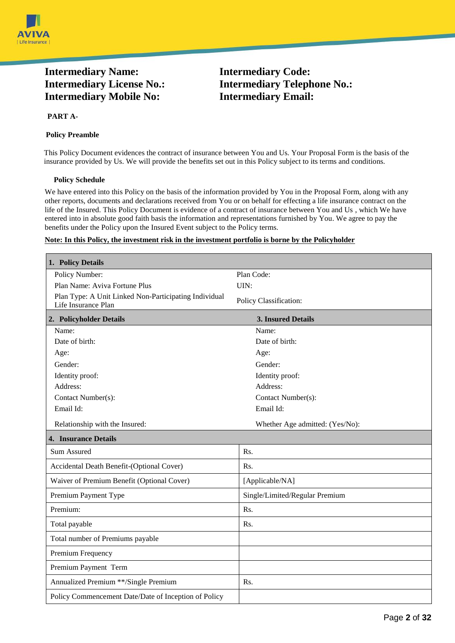

# **Intermediary Name: Intermediary Code: Intermediary Mobile No: Intermediary Email:**

**Intermediary License No.: Intermediary Telephone No.:**

## **PART A-**

#### **Policy Preamble**

This Policy Document evidences the contract of insurance between You and Us. Your Proposal Form is the basis of the insurance provided by Us. We will provide the benefits set out in this Policy subject to its terms and conditions.

#### **Policy Schedule**

We have entered into this Policy on the basis of the information provided by You in the Proposal Form, along with any other reports, documents and declarations received from You or on behalf for effecting a life insurance contract on the life of the Insured. This Policy Document is evidence of a contract of insurance between You and Us , which We have entered into in absolute good faith basis the information and representations furnished by You. We agree to pay the benefits under the Policy upon the Insured Event subject to the Policy terms.

## **Note: In this Policy, the investment risk in the investment portfolio is borne by the Policyholder**

| 1. Policy Details                                     |                                 |
|-------------------------------------------------------|---------------------------------|
| Policy Number:                                        | Plan Code:                      |
| Plan Name: Aviva Fortune Plus                         | UIN:                            |
| Plan Type: A Unit Linked Non-Participating Individual | Policy Classification:          |
| Life Insurance Plan                                   |                                 |
| 2. Policyholder Details                               | <b>3. Insured Details</b>       |
| Name:                                                 | Name:                           |
| Date of birth:                                        | Date of birth:                  |
| Age:                                                  | Age:                            |
| Gender:                                               | Gender:                         |
| Identity proof:                                       | Identity proof:                 |
| Address:                                              | Address:                        |
| Contact Number(s):                                    | Contact Number(s):              |
| Email Id:                                             | Email Id:                       |
| Relationship with the Insured:                        | Whether Age admitted: (Yes/No): |
| <b>4. Insurance Details</b>                           |                                 |
| Sum Assured                                           | Rs.                             |
| Accidental Death Benefit-(Optional Cover)             | Rs.                             |
| Waiver of Premium Benefit (Optional Cover)            | [Applicable/NA]                 |
| Premium Payment Type                                  | Single/Limited/Regular Premium  |
| Premium:                                              | Rs.                             |
| Total payable                                         | Rs.                             |
| Total number of Premiums payable                      |                                 |
| Premium Frequency                                     |                                 |
| Premium Payment Term                                  |                                 |
| Annualized Premium **/Single Premium                  | Rs.                             |
|                                                       |                                 |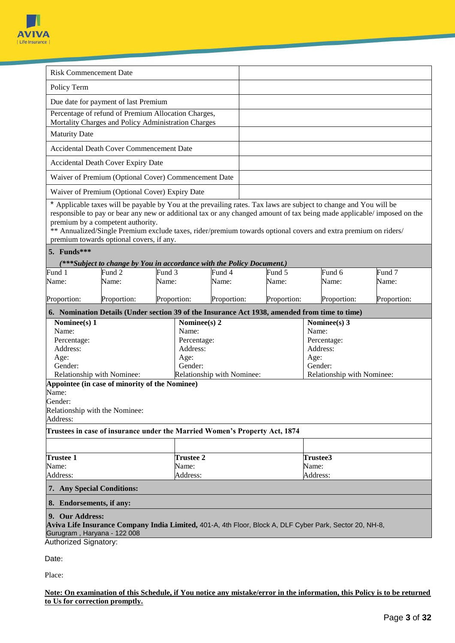

| <b>Risk Commencement Date</b>                                                                                                                                                                                                                                                                                                                                                                                                                                                                                                    |                   |                  |             |                               |             |  |  |
|----------------------------------------------------------------------------------------------------------------------------------------------------------------------------------------------------------------------------------------------------------------------------------------------------------------------------------------------------------------------------------------------------------------------------------------------------------------------------------------------------------------------------------|-------------------|------------------|-------------|-------------------------------|-------------|--|--|
| Policy Term                                                                                                                                                                                                                                                                                                                                                                                                                                                                                                                      |                   |                  |             |                               |             |  |  |
| Due date for payment of last Premium                                                                                                                                                                                                                                                                                                                                                                                                                                                                                             |                   |                  |             |                               |             |  |  |
| Percentage of refund of Premium Allocation Charges,<br>Mortality Charges and Policy Administration Charges                                                                                                                                                                                                                                                                                                                                                                                                                       |                   |                  |             |                               |             |  |  |
| <b>Maturity Date</b>                                                                                                                                                                                                                                                                                                                                                                                                                                                                                                             |                   |                  |             |                               |             |  |  |
| <b>Accidental Death Cover Commencement Date</b>                                                                                                                                                                                                                                                                                                                                                                                                                                                                                  |                   |                  |             |                               |             |  |  |
| Accidental Death Cover Expiry Date                                                                                                                                                                                                                                                                                                                                                                                                                                                                                               |                   |                  |             |                               |             |  |  |
| Waiver of Premium (Optional Cover) Commencement Date                                                                                                                                                                                                                                                                                                                                                                                                                                                                             |                   |                  |             |                               |             |  |  |
| Waiver of Premium (Optional Cover) Expiry Date                                                                                                                                                                                                                                                                                                                                                                                                                                                                                   |                   |                  |             |                               |             |  |  |
| * Applicable taxes will be payable by You at the prevailing rates. Tax laws are subject to change and You will be<br>responsible to pay or bear any new or additional tax or any changed amount of tax being made applicable/imposed on the<br>premium by a competent authority.<br>** Annualized/Single Premium exclude taxes, rider/premium towards optional covers and extra premium on riders/<br>premium towards optional covers, if any.<br>5. Funds***                                                                    |                   |                  |             |                               |             |  |  |
| (***Subject to change by You in accordance with the Policy Document.)<br>Fund 2<br>Fund 1                                                                                                                                                                                                                                                                                                                                                                                                                                        | Fund 3            | Fund 4           | Fund 5      | Fund 6                        | Fund 7      |  |  |
| Name:<br>Name:                                                                                                                                                                                                                                                                                                                                                                                                                                                                                                                   | Name:             | Name:            | Name:       | Name:                         | Name:       |  |  |
| Proportion:<br>Proportion:                                                                                                                                                                                                                                                                                                                                                                                                                                                                                                       | Proportion:       | Proportion:      | Proportion: | Proportion:                   | Proportion: |  |  |
|                                                                                                                                                                                                                                                                                                                                                                                                                                                                                                                                  |                   |                  |             |                               |             |  |  |
| 6. Nomination Details (Under section 39 of the Insurance Act 1938, amended from time to time)<br>Nominee(s) 1<br>Nominee(s) 2<br>Nominee(s) 3<br>Name:<br>Name:<br>Name:<br>Percentage:<br>Percentage:<br>Percentage:<br>Address:<br>Address:<br>Address:<br>Age:<br>Age:<br>Age:<br>Gender:<br>Gender:<br>Gender:<br>Relationship with Nominee:<br>Relationship with Nominee:<br>Relationship with Nominee:<br>Appointee (in case of minority of the Nominee)<br>Name:<br>Gender:<br>Relationship with the Nominee:<br>Address: |                   |                  |             |                               |             |  |  |
| Trustees in case of insurance under the Married Women's Property Act, 1874                                                                                                                                                                                                                                                                                                                                                                                                                                                       |                   |                  |             |                               |             |  |  |
| <b>Trustee 1</b><br>Name:<br>Address:                                                                                                                                                                                                                                                                                                                                                                                                                                                                                            | Name:<br>Address: | <b>Trustee 2</b> |             | Trustee3<br>Name:<br>Address: |             |  |  |
| 7. Any Special Conditions:                                                                                                                                                                                                                                                                                                                                                                                                                                                                                                       |                   |                  |             |                               |             |  |  |
| 8. Endorsements, if any:                                                                                                                                                                                                                                                                                                                                                                                                                                                                                                         |                   |                  |             |                               |             |  |  |
| 9. Our Address:<br>Aviva Life Insurance Company India Limited, 401-A, 4th Floor, Block A, DLF Cyber Park, Sector 20, NH-8,<br>Gurugram, Haryana - 122 008<br>Authorized Signatory:                                                                                                                                                                                                                                                                                                                                               |                   |                  |             |                               |             |  |  |
| Date:                                                                                                                                                                                                                                                                                                                                                                                                                                                                                                                            |                   |                  |             |                               |             |  |  |

Place: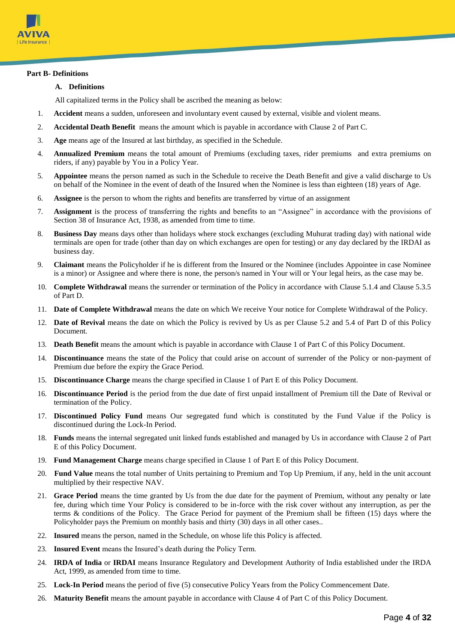

#### **Part B- Definitions**

#### **A. Definitions**

All capitalized terms in the Policy shall be ascribed the meaning as below:

- 1. **Accident** means a sudden, unforeseen and involuntary event caused by external, visible and violent means.
- 2. **Accidental Death Benefit** means the amount which is payable in accordance with Clause 2 of Part C.
- 3. **Age** means age of the Insured at last birthday, as specified in the Schedule.
- 4. **Annualized Premium** means the total amount of Premiums (excluding taxes, rider premiums and extra premiums on riders, if any) payable by You in a Policy Year.
- 5. **Appointee** means the person named as such in the Schedule to receive the Death Benefit and give a valid discharge to Us on behalf of the Nominee in the event of death of the Insured when the Nominee is less than eighteen (18) years of Age.
- 6. **Assignee** is the person to whom the rights and benefits are transferred by virtue of an assignment
- 7. **Assignment** is the process of transferring the rights and benefits to an "Assignee" in accordance with the provisions of Section 38 of Insurance Act, 1938, as amended from time to time.
- 8. **Business Day** means days other than holidays where stock exchanges (excluding Muhurat trading day) with national wide terminals are open for trade (other than day on which exchanges are open for testing) or any day declared by the IRDAI as business day.
- 9. **Claimant** means the Policyholder if he is different from the Insured or the Nominee (includes Appointee in case Nominee is a minor) or Assignee and where there is none, the person/s named in Your will or Your legal heirs, as the case may be.
- 10. **Complete Withdrawal** means the surrender or termination of the Policy in accordance with Clause 5.1.4 and Clause 5.3.5 of Part D.
- 11. **Date of Complete Withdrawal** means the date on which We receive Your notice for Complete Withdrawal of the Policy.
- 12. **Date of Revival** means the date on which the Policy is revived by Us as per Clause 5.2 and 5.4 of Part D of this Policy Document.
- 13. **Death Benefit** means the amount which is payable in accordance with Clause 1 of Part C of this Policy Document.
- 14. **Discontinuance** means the state of the Policy that could arise on account of surrender of the Policy or non-payment of Premium due before the expiry the Grace Period.
- 15. **Discontinuance Charge** means the charge specified in Clause 1 of Part E of this Policy Document.
- 16. **Discontinuance Period** is the period from the due date of first unpaid installment of Premium till the Date of Revival or termination of the Policy.
- 17. **Discontinued Policy Fund** means Our segregated fund which is constituted by the Fund Value if the Policy is discontinued during the Lock-In Period.
- 18. **Funds** means the internal segregated unit linked funds established and managed by Us in accordance with Clause 2 of Part E of this Policy Document.
- 19. **Fund Management Charge** means charge specified in Clause 1 of Part E of this Policy Document.
- 20. **Fund Value** means the total number of Units pertaining to Premium and Top Up Premium, if any, held in the unit account multiplied by their respective NAV.
- 21. **Grace Period** means the time granted by Us from the due date for the payment of Premium, without any penalty or late fee, during which time Your Policy is considered to be in-force with the risk cover without any interruption, as per the terms & conditions of the Policy. The Grace Period for payment of the Premium shall be fifteen (15) days where the Policyholder pays the Premium on monthly basis and thirty (30) days in all other cases..
- 22. **Insured** means the person, named in the Schedule, on whose life this Policy is affected.
- 23. **Insured Event** means the Insured's death during the Policy Term.
- 24. **IRDA of India** or **IRDAI** means Insurance Regulatory and Development Authority of India established under the IRDA Act, 1999, as amended from time to time.
- 25. **Lock-In Period** means the period of five (5) consecutive Policy Years from the Policy Commencement Date.
- 26. **Maturity Benefit** means the amount payable in accordance with Clause 4 of Part C of this Policy Document.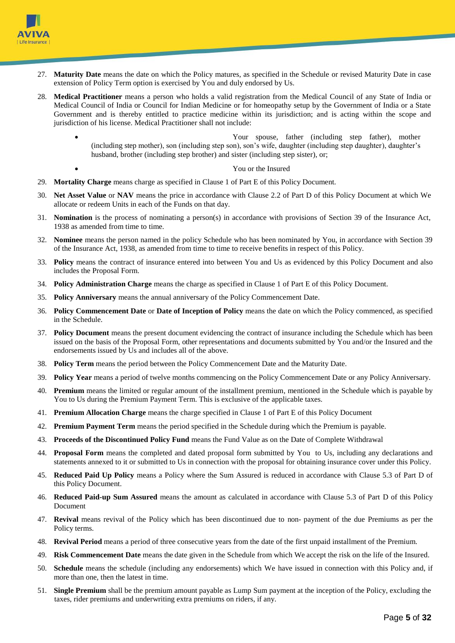

- 27. **Maturity Date** means the date on which the Policy matures, as specified in the Schedule or revised Maturity Date in case extension of Policy Term option is exercised by You and duly endorsed by Us.
- 28. **Medical Practitioner** means a person who holds a valid registration from the Medical Council of any State of India or Medical Council of India or Council for Indian Medicine or for homeopathy setup by the Government of India or a State Government and is thereby entitled to practice medicine within its jurisdiction; and is acting within the scope and jurisdiction of his license. Medical Practitioner shall not include:
	- Your spouse, father (including step father), mother (including step mother), son (including step son), son's wife, daughter (including step daughter), daughter's husband, brother (including step brother) and sister (including step sister), or;
		- You or the Insured
- 29. **Mortality Charge** means charge as specified in Clause 1 of Part E of this Policy Document.
- 30. **Net Asset Value** or **NAV** means the price in accordance with Clause 2.2 of Part D of this Policy Document at which We allocate or redeem Units in each of the Funds on that day.
- 31. **Nomination** is the process of nominating a person(s) in accordance with provisions of Section 39 of the Insurance Act, 1938 as amended from time to time.
- 32. **Nominee** means the person named in the policy Schedule who has been nominated by You, in accordance with Section 39 of the Insurance Act, 1938, as amended from time to time to receive benefits in respect of this Policy.
- 33. **Policy** means the contract of insurance entered into between You and Us as evidenced by this Policy Document and also includes the Proposal Form.
- 34. **Policy Administration Charge** means the charge as specified in Clause 1 of Part E of this Policy Document.
- 35. **Policy Anniversary** means the annual anniversary of the Policy Commencement Date.
- 36. **Policy Commencement Date** or **Date of Inception of Policy** means the date on which the Policy commenced, as specified in the Schedule.
- 37. **Policy Document** means the present document evidencing the contract of insurance including the Schedule which has been issued on the basis of the Proposal Form, other representations and documents submitted by You and/or the Insured and the endorsements issued by Us and includes all of the above.
- 38. **Policy Term** means the period between the Policy Commencement Date and the Maturity Date.
- 39. **Policy Year** means a period of twelve months commencing on the Policy Commencement Date or any Policy Anniversary.
- 40. **Premium** means the limited or regular amount of the installment premium, mentioned in the Schedule which is payable by You to Us during the Premium Payment Term. This is exclusive of the applicable taxes.
- 41. **Premium Allocation Charge** means the charge specified in Clause 1 of Part E of this Policy Document
- 42. **Premium Payment Term** means the period specified in the Schedule during which the Premium is payable.
- 43. **Proceeds of the Discontinued Policy Fund** means the Fund Value as on the Date of Complete Withdrawal
- 44. **Proposal Form** means the completed and dated proposal form submitted by You to Us, including any declarations and statements annexed to it or submitted to Us in connection with the proposal for obtaining insurance cover under this Policy.
- 45. **Reduced Paid Up Policy** means a Policy where the Sum Assured is reduced in accordance with Clause 5.3 of Part D of this Policy Document.
- 46. **Reduced Paid-up Sum Assured** means the amount as calculated in accordance with Clause 5.3 of Part D of this Policy Document
- 47. **Revival** means revival of the Policy which has been discontinued due to non- payment of the due Premiums as per the Policy terms.
- 48. **Revival Period** means a period of three consecutive years from the date of the first unpaid installment of the Premium.
- 49. **Risk Commencement Date** means the date given in the Schedule from which We accept the risk on the life of the Insured.
- 50. **Schedule** means the schedule (including any endorsements) which We have issued in connection with this Policy and, if more than one, then the latest in time.
- 51. **Single Premium** shall be the premium amount payable as Lump Sum payment at the inception of the Policy, excluding the taxes, rider premiums and underwriting extra premiums on riders, if any.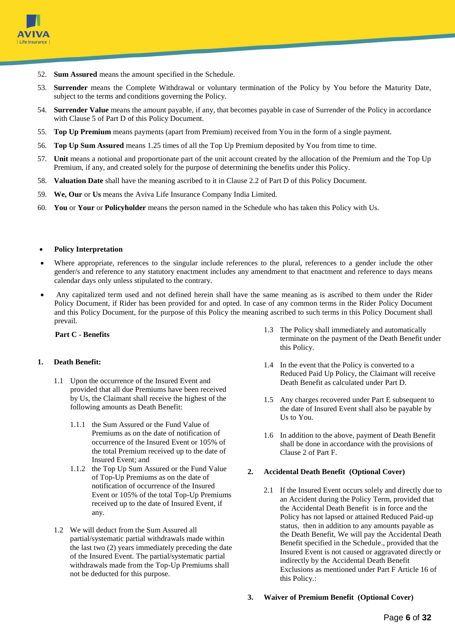

- 52. **Sum Assured** means the amount specified in the Schedule.
- 53. **Surrender** means the Complete Withdrawal or voluntary termination of the Policy by You before the Maturity Date, subject to the terms and conditions governing the Policy.
- 54. **Surrender Value** means the amount payable, if any, that becomes payable in case of Surrender of the Policy in accordance with Clause 5 of Part D of this Policy Document.
- 55. **Top Up Premium** means payments (apart from Premium) received from You in the form of a single payment.
- 56. **Top Up Sum Assured** means 1.25 times of all the Top Up Premium deposited by You from time to time.
- 57. **Unit** means a notional and proportionate part of the unit account created by the allocation of the Premium and the Top Up Premium, if any, and created solely for the purpose of determining the benefits under this Policy.
- 58. **Valuation Date** shall have the meaning ascribed to it in Clause 2.2 of Part D of this Policy Document.
- 59. **We, Our** or **Us** means the Aviva Life Insurance Company India Limited.
- 60. **You** or **Your** or **Policyholder** means the person named in the Schedule who has taken this Policy with Us.

#### **Policy Interpretation**

- Where appropriate, references to the singular include references to the plural, references to a gender include the other gender/s and reference to any statutory enactment includes any amendment to that enactment and reference to days means calendar days only unless stipulated to the contrary.
- Any capitalized term used and not defined herein shall have the same meaning as is ascribed to them under the Rider Policy Document, if Rider has been provided for and opted. In case of any common terms in the Rider Policy Document and this Policy Document, for the purpose of this Policy the meaning ascribed to such terms in this Policy Document shall prevail.

#### **Part C - Benefits**

#### **1. Death Benefit:**

- 1.1 Upon the occurrence of the Insured Event and provided that all due Premiums have been received by Us, the Claimant shall receive the highest of the following amounts as Death Benefit:
	- 1.1.1 the Sum Assured or the Fund Value of Premiums as on the date of notification of occurrence of the Insured Event or 105% of the total Premium received up to the date of Insured Event; and
	- 1.1.2 the Top Up Sum Assured or the Fund Value of Top-Up Premiums as on the date of notification of occurrence of the Insured Event or 105% of the total Top-Up Premiums received up to the date of Insured Event, if any.
- 1.2 We will deduct from the Sum Assured all partial/systematic partial withdrawals made within the last two (2) years immediately preceding the date of the Insured Event. The partial/systematic partial withdrawals made from the Top-Up Premiums shall not be deducted for this purpose.
- 1.3 The Policy shall immediately and automatically terminate on the payment of the Death Benefit under this Policy.
- 1.4 In the event that the Policy is converted to a Reduced Paid Up Policy, the Claimant will receive Death Benefit as calculated under Part D.
- 1.5 Any charges recovered under Part E subsequent to the date of Insured Event shall also be payable by Us to You.
- 1.6 In addition to the above, payment of Death Benefit shall be done in accordance with the provisions of Clause 2 of Part F.

#### **2. Accidental Death Benefit (Optional Cover)**

- 2.1 If the Insured Event occurs solely and directly due to an Accident during the Policy Term, provided that the Accidental Death Benefit is in force and the Policy has not lapsed or attained Reduced Paid-up status, then in addition to any amounts payable as the Death Benefit, We will pay the Accidental Death Benefit specified in the Schedule., provided that the Insured Event is not caused or aggravated directly or indirectly by the Accidental Death Benefit Exclusions as mentioned under Part F Article 16 of this Policy.:
- **3. Waiver of Premium Benefit (Optional Cover)**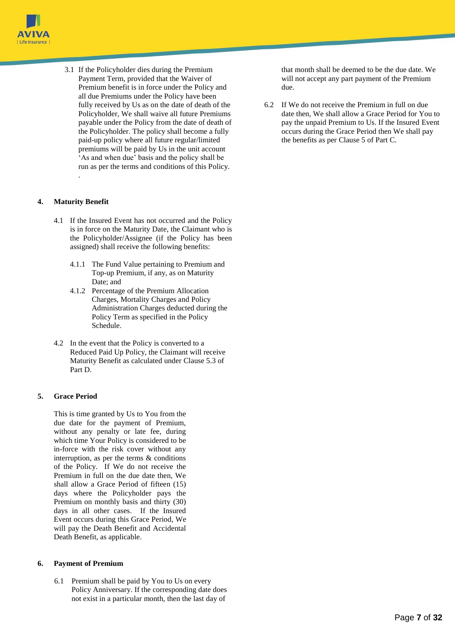

3.1 If the Policyholder dies during the Premium Payment Term, provided that the Waiver of Premium benefit is in force under the Policy and all due Premiums under the Policy have been fully received by Us as on the date of death of the Policyholder, We shall waive all future Premiums payable under the Policy from the date of death of the Policyholder. The policy shall become a fully paid-up policy where all future regular/limited premiums will be paid by Us in the unit account 'As and when due' basis and the policy shall be run as per the terms and conditions of this Policy. .

## **4. Maturity Benefit**

- 4.1 If the Insured Event has not occurred and the Policy is in force on the Maturity Date, the Claimant who is the Policyholder/Assignee (if the Policy has been assigned) shall receive the following benefits:
	- 4.1.1 The Fund Value pertaining to Premium and Top-up Premium, if any, as on Maturity Date; and
	- 4.1.2 Percentage of the Premium Allocation Charges, Mortality Charges and Policy Administration Charges deducted during the Policy Term as specified in the Policy Schedule.
- 4.2 In the event that the Policy is converted to a Reduced Paid Up Policy, the Claimant will receive Maturity Benefit as calculated under Clause 5.3 of Part D.

# **5. Grace Period**

This is time granted by Us to You from the due date for the payment of Premium, without any penalty or late fee, during which time Your Policy is considered to be in-force with the risk cover without any interruption, as per the terms  $\&$  conditions of the Policy. If We do not receive the Premium in full on the due date then, We shall allow a Grace Period of fifteen (15) days where the Policyholder pays the Premium on monthly basis and thirty (30) days in all other cases. If the Insured Event occurs during this Grace Period, We will pay the Death Benefit and Accidental Death Benefit, as applicable.

# **6. Payment of Premium**

6.1 Premium shall be paid by You to Us on every Policy Anniversary. If the corresponding date does not exist in a particular month, then the last day of

that month shall be deemed to be the due date. We will not accept any part payment of the Premium due.

6.2 If We do not receive the Premium in full on due date then, We shall allow a Grace Period for You to pay the unpaid Premium to Us. If the Insured Event occurs during the Grace Period then We shall pay the benefits as per Clause 5 of Part C.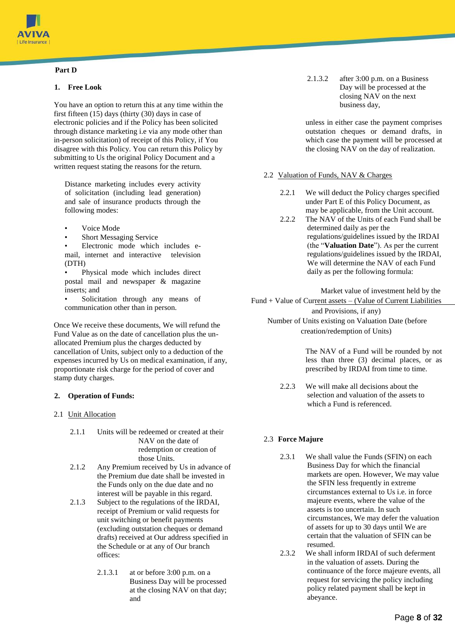

#### **Part D**

## **1. Free Look**

You have an option to return this at any time within the first fifteen (15) days (thirty (30) days in case of electronic policies and if the Policy has been solicited through distance marketing i.e via any mode other than in-person solicitation) of receipt of this Policy, if You disagree with this Policy. You can return this Policy by submitting to Us the original Policy Document and a written request stating the reasons for the return.

Distance marketing includes every activity of solicitation (including lead generation) and sale of insurance products through the following modes:

- Voice Mode
- Short Messaging Service
- Electronic mode which includes email, internet and interactive television (DTH)
- Physical mode which includes direct postal mail and newspaper & magazine inserts; and
- Solicitation through any means of communication other than in person.

Once We receive these documents, We will refund the Fund Value as on the date of cancellation plus the unallocated Premium plus the charges deducted by cancellation of Units, subject only to a deduction of the expenses incurred by Us on medical examination, if any, proportionate risk charge for the period of cover and stamp duty charges.

# **2. Operation of Funds:**

#### 2.1 Unit Allocation

- 2.1.1 Units will be redeemed or created at their NAV on the date of redemption or creation of those Units.
- 2.1.2 Any Premium received by Us in advance of the Premium due date shall be invested in the Funds only on the due date and no interest will be payable in this regard.
- 2.1.3 Subject to the regulations of the IRDAI, receipt of Premium or valid requests for unit switching or benefit payments (excluding outstation cheques or demand drafts) received at Our address specified in the Schedule or at any of Our branch offices:
	- 2.1.3.1 at or before 3:00 p.m. on a Business Day will be processed at the closing NAV on that day; and

2.1.3.2 after 3:00 p.m. on a Business Day will be processed at the closing NAV on the next business day,

unless in either case the payment comprises outstation cheques or demand drafts, in which case the payment will be processed at the closing NAV on the day of realization.

## 2.2 Valuation of Funds, NAV & Charges

- 2.2.1 We will deduct the Policy charges specified under Part E of this Policy Document, as may be applicable, from the Unit account.
- 2.2.2 The NAV of the Units of each Fund shall be determined daily as per the regulations/guidelines issued by the IRDAI (the "**Valuation Date**"). As per the current regulations/guidelines issued by the IRDAI, We will determine the NAV of each Fund daily as per the following formula:

Market value of investment held by the

Fund + Value of Current assets – (Value of Current Liabilities and Provisions, if any)

Number of Units existing on Valuation Date (before creation/redemption of Units)

> The NAV of a Fund will be rounded by not less than three (3) decimal places, or as prescribed by IRDAI from time to time.

2.2.3 We will make all decisions about the selection and valuation of the assets to which a Fund is referenced.

# 2.3 **Force Majure**

- 2.3.1 We shall value the Funds (SFIN) on each Business Day for which the financial markets are open. However, We may value the SFIN less frequently in extreme circumstances external to Us i.e. in force majeure events, where the value of the assets is too uncertain. In such circumstances, We may defer the valuation of assets for up to 30 days until We are certain that the valuation of SFIN can be resumed.
- 2.3.2 We shall inform IRDAI of such deferment in the valuation of assets. During the continuance of the force majeure events, all request for servicing the policy including policy related payment shall be kept in abeyance.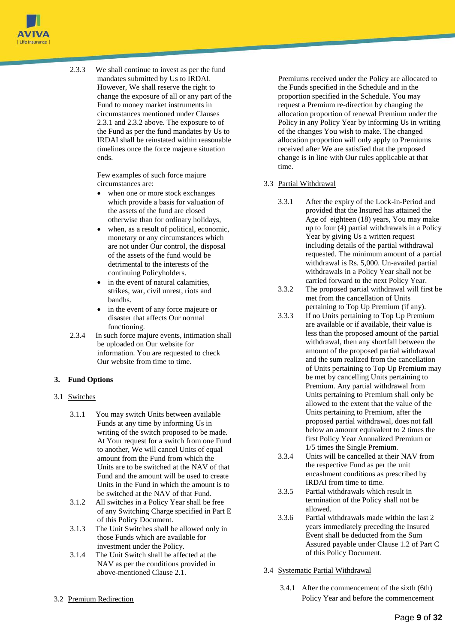

2.3.3 We shall continue to invest as per the fund mandates submitted by Us to IRDAI. However, We shall reserve the right to change the exposure of all or any part of the Fund to money market instruments in circumstances mentioned under Clauses 2.3.1 and 2.3.2 above. The exposure to of the Fund as per the fund mandates by Us to IRDAI shall be reinstated within reasonable timelines once the force majeure situation ends.

> Few examples of such force majure circumstances are:

- when one or more stock exchanges which provide a basis for valuation of the assets of the fund are closed otherwise than for ordinary holidays,
- when, as a result of political, economic, monetary or any circumstances which are not under Our control, the disposal of the assets of the fund would be detrimental to the interests of the continuing Policyholders.
- in the event of natural calamities, strikes, war, civil unrest, riots and bandhs.
- in the event of any force majeure or disaster that affects Our normal functioning.
- 2.3.4 In such force majure events, intimation shall be uploaded on Our website for information. You are requested to check Our website from time to time.

# **3. Fund Options**

# 3.1 Switches

- 3.1.1 You may switch Units between available Funds at any time by informing Us in writing of the switch proposed to be made. At Your request for a switch from one Fund to another, We will cancel Units of equal amount from the Fund from which the Units are to be switched at the NAV of that Fund and the amount will be used to create Units in the Fund in which the amount is to be switched at the NAV of that Fund.
- 3.1.2 All switches in a Policy Year shall be free of any Switching Charge specified in Part E of this Policy Document.
- 3.1.3 The Unit Switches shall be allowed only in those Funds which are available for investment under the Policy.
- 3.1.4 The Unit Switch shall be affected at the NAV as per the conditions provided in above-mentioned Clause 2.1.
- 3.2 Premium Redirection

Premiums received under the Policy are allocated to the Funds specified in the Schedule and in the proportion specified in the Schedule. You may request a Premium re-direction by changing the allocation proportion of renewal Premium under the Policy in any Policy Year by informing Us in writing of the changes You wish to make. The changed allocation proportion will only apply to Premiums received after We are satisfied that the proposed change is in line with Our rules applicable at that time.

# 3.3 Partial Withdrawal

- 3.3.1 After the expiry of the Lock-in-Period and provided that the Insured has attained the Age of eighteen (18) years, You may make up to four (4) partial withdrawals in a Policy Year by giving Us a written request including details of the partial withdrawal requested. The minimum amount of a partial withdrawal is Rs. 5,000. Un-availed partial withdrawals in a Policy Year shall not be carried forward to the next Policy Year.
- 3.3.2 The proposed partial withdrawal will first be met from the cancellation of Units pertaining to Top Up Premium (if any).
- 3.3.3 If no Units pertaining to Top Up Premium are available or if available, their value is less than the proposed amount of the partial withdrawal, then any shortfall between the amount of the proposed partial withdrawal and the sum realized from the cancellation of Units pertaining to Top Up Premium may be met by cancelling Units pertaining to Premium. Any partial withdrawal from Units pertaining to Premium shall only be allowed to the extent that the value of the Units pertaining to Premium, after the proposed partial withdrawal, does not fall below an amount equivalent to 2 times the first Policy Year Annualized Premium or 1/5 times the Single Premium.
- 3.3.4 Units will be cancelled at their NAV from the respective Fund as per the unit encashment conditions as prescribed by IRDAI from time to time.
- 3.3.5 Partial withdrawals which result in termination of the Policy shall not be allowed.
- 3.3.6 Partial withdrawals made within the last 2 years immediately preceding the Insured Event shall be deducted from the Sum Assured payable under Clause 1.2 of Part C of this Policy Document.
- 3.4 Systematic Partial Withdrawal
	- 3.4.1 After the commencement of the sixth (6th) Policy Year and before the commencement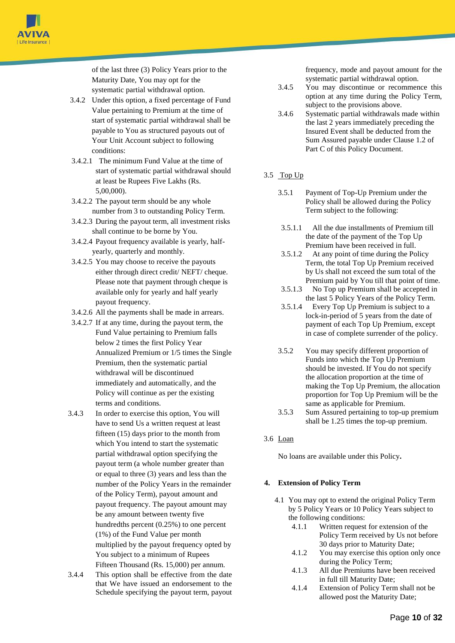

of the last three (3) Policy Years prior to the Maturity Date, You may opt for the systematic partial withdrawal option.

- 3.4.2 Under this option, a fixed percentage of Fund Value pertaining to Premium at the time of start of systematic partial withdrawal shall be payable to You as structured payouts out of Your Unit Account subject to following conditions:
- 3.4.2.1 The minimum Fund Value at the time of start of systematic partial withdrawal should at least be Rupees Five Lakhs (Rs. 5,00,000).
- 3.4.2.2 The payout term should be any whole number from 3 to outstanding Policy Term.
- 3.4.2.3 During the payout term, all investment risks shall continue to be borne by You.
- 3.4.2.4 Payout frequency available is yearly, halfyearly, quarterly and monthly.
- 3.4.2.5 You may choose to receive the payouts either through direct credit/ NEFT/ cheque. Please note that payment through cheque is available only for yearly and half yearly payout frequency.
- 3.4.2.6 All the payments shall be made in arrears.
- 3.4.2.7 If at any time, during the payout term, the Fund Value pertaining to Premium falls below 2 times the first Policy Year Annualized Premium or 1/5 times the Single Premium, then the systematic partial withdrawal will be discontinued immediately and automatically, and the Policy will continue as per the existing terms and conditions.
- 3.4.3 In order to exercise this option, You will have to send Us a written request at least fifteen (15) days prior to the month from which You intend to start the systematic partial withdrawal option specifying the payout term (a whole number greater than or equal to three (3) years and less than the number of the Policy Years in the remainder of the Policy Term), payout amount and payout frequency. The payout amount may be any amount between twenty five hundredths percent (0.25%) to one percent (1%) of the Fund Value per month multiplied by the payout frequency opted by You subject to a minimum of Rupees Fifteen Thousand (Rs. 15,000) per annum.
- 3.4.4 This option shall be effective from the date that We have issued an endorsement to the Schedule specifying the payout term, payout

frequency, mode and payout amount for the systematic partial withdrawal option.

- 3.4.5 You may discontinue or recommence this option at any time during the Policy Term, subject to the provisions above.
- 3.4.6 Systematic partial withdrawals made within the last 2 years immediately preceding the Insured Event shall be deducted from the Sum Assured payable under Clause 1.2 of Part C of this Policy Document.

# 3.5 Top Up

- 3.5.1 Payment of Top-Up Premium under the Policy shall be allowed during the Policy Term subject to the following:
- 3.5.1.1 All the due installments of Premium till the date of the payment of the Top Up Premium have been received in full.
- 3.5.1.2 At any point of time during the Policy Term, the total Top Up Premium received by Us shall not exceed the sum total of the Premium paid by You till that point of time.
- 3.5.1.3 No Top up Premium shall be accepted in the last 5 Policy Years of the Policy Term.
- 3.5.1.4 Every Top Up Premium is subject to a lock-in-period of 5 years from the date of payment of each Top Up Premium, except in case of complete surrender of the policy.
- 3.5.2 You may specify different proportion of Funds into which the Top Up Premium should be invested. If You do not specify the allocation proportion at the time of making the Top Up Premium, the allocation proportion for Top Up Premium will be the same as applicable for Premium.
- 3.5.3 Sum Assured pertaining to top-up premium shall be 1.25 times the top-up premium.
- 3.6 Loan

No loans are available under this Policy**.**

# **4. Extension of Policy Term**

- 4.1 You may opt to extend the original Policy Term by 5 Policy Years or 10 Policy Years subject to the following conditions:
	- 4.1.1 Written request for extension of the Policy Term received by Us not before 30 days prior to Maturity Date;
	- 4.1.2 You may exercise this option only once during the Policy Term;
	- 4.1.3 All due Premiums have been received in full till Maturity Date;
	- 4.1.4 Extension of Policy Term shall not be allowed post the Maturity Date;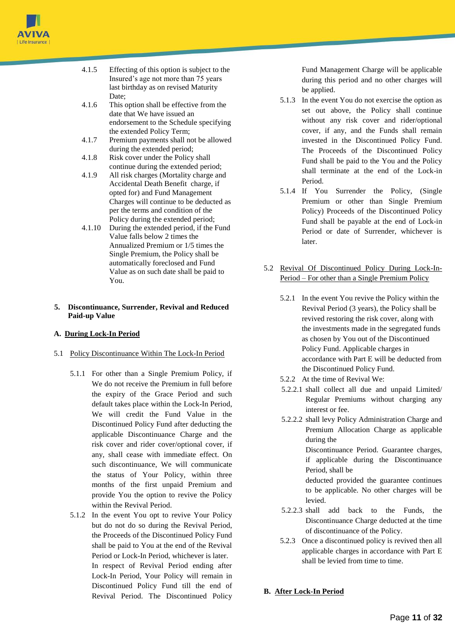

- 4.1.5 Effecting of this option is subject to the Insured's age not more than 75 years last birthday as on revised Maturity Date;
- 4.1.6 This option shall be effective from the date that We have issued an endorsement to the Schedule specifying the extended Policy Term;
- 4.1.7 Premium payments shall not be allowed during the extended period;
- 4.1.8 Risk cover under the Policy shall continue during the extended period;
- 4.1.9 All risk charges (Mortality charge and Accidental Death Benefit charge, if opted for) and Fund Management Charges will continue to be deducted as per the terms and condition of the Policy during the extended period;
- 4.1.10 During the extended period, if the Fund Value falls below 2 times the Annualized Premium or 1/5 times the Single Premium, the Policy shall be automatically foreclosed and Fund Value as on such date shall be paid to You.

## **5. Discontinuance, Surrender, Revival and Reduced Paid-up Value**

# **A. During Lock-In Period**

# 5.1 Policy Discontinuance Within The Lock-In Period

- 5.1.1 For other than a Single Premium Policy, if We do not receive the Premium in full before the expiry of the Grace Period and such default takes place within the Lock-In Period, We will credit the Fund Value in the Discontinued Policy Fund after deducting the applicable Discontinuance Charge and the risk cover and rider cover/optional cover, if any, shall cease with immediate effect. On such discontinuance, We will communicate the status of Your Policy, within three months of the first unpaid Premium and provide You the option to revive the Policy within the Revival Period.
- 5.1.2 In the event You opt to revive Your Policy but do not do so during the Revival Period, the Proceeds of the Discontinued Policy Fund shall be paid to You at the end of the Revival Period or Lock-In Period, whichever is later. In respect of Revival Period ending after Lock-In Period, Your Policy will remain in Discontinued Policy Fund till the end of Revival Period. The Discontinued Policy

Fund Management Charge will be applicable during this period and no other charges will be applied.

- 5.1.3 In the event You do not exercise the option as set out above, the Policy shall continue without any risk cover and rider/optional cover, if any, and the Funds shall remain invested in the Discontinued Policy Fund. The Proceeds of the Discontinued Policy Fund shall be paid to the You and the Policy shall terminate at the end of the Lock-in Period.
- 5.1.4 If You Surrender the Policy, (Single Premium or other than Single Premium Policy) Proceeds of the Discontinued Policy Fund shall be payable at the end of Lock-in Period or date of Surrender, whichever is later.
- 5.2 Revival Of Discontinued Policy During Lock-In-Period – For other than a Single Premium Policy
	- 5.2.1 In the event You revive the Policy within the Revival Period (3 years), the Policy shall be revived restoring the risk cover, along with the investments made in the segregated funds as chosen by You out of the Discontinued Policy Fund. Applicable charges in accordance with Part E will be deducted from the Discontinued Policy Fund.
	- 5.2.2 At the time of Revival We:
	- 5.2.2.1 shall collect all due and unpaid Limited/ Regular Premiums without charging any interest or fee.
	- 5.2.2.2 shall levy Policy Administration Charge and Premium Allocation Charge as applicable during the

Discontinuance Period. Guarantee charges, if applicable during the Discontinuance Period, shall be

deducted provided the guarantee continues to be applicable. No other charges will be levied.

- 5.2.2.3 shall add back to the Funds, the Discontinuance Charge deducted at the time of discontinuance of the Policy.
- 5.2.3 Once a discontinued policy is revived then all applicable charges in accordance with Part E shall be levied from time to time.

# **B. After Lock-In Period**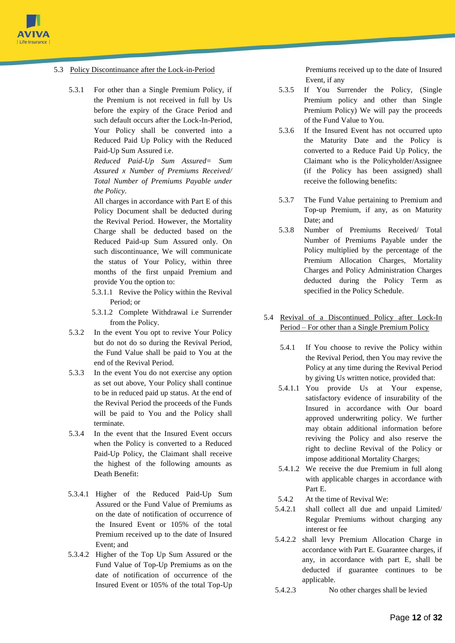

#### 5.3 Policy Discontinuance after the Lock-in-Period

5.3.1 For other than a Single Premium Policy, if the Premium is not received in full by Us before the expiry of the Grace Period and such default occurs after the Lock-In-Period, Your Policy shall be converted into a Reduced Paid Up Policy with the Reduced Paid-Up Sum Assured i.e.

> *Reduced Paid-Up Sum Assured= Sum Assured x Number of Premiums Received/ Total Number of Premiums Payable under the Policy*.

> All charges in accordance with Part E of this Policy Document shall be deducted during the Revival Period. However, the Mortality Charge shall be deducted based on the Reduced Paid-up Sum Assured only. On such discontinuance, We will communicate the status of Your Policy, within three months of the first unpaid Premium and provide You the option to:

- 5.3.1.1 Revive the Policy within the Revival Period; or
- 5.3.1.2 Complete Withdrawal i.e Surrender from the Policy.
- 5.3.2 In the event You opt to revive Your Policy but do not do so during the Revival Period, the Fund Value shall be paid to You at the end of the Revival Period.
- 5.3.3 In the event You do not exercise any option as set out above, Your Policy shall continue to be in reduced paid up status. At the end of the Revival Period the proceeds of the Funds will be paid to You and the Policy shall terminate.
- 5.3.4 In the event that the Insured Event occurs when the Policy is converted to a Reduced Paid-Up Policy, the Claimant shall receive the highest of the following amounts as Death Benefit:
- 5.3.4.1 Higher of the Reduced Paid-Up Sum Assured or the Fund Value of Premiums as on the date of notification of occurrence of the Insured Event or 105% of the total Premium received up to the date of Insured Event; and
- 5.3.4.2 Higher of the Top Up Sum Assured or the Fund Value of Top-Up Premiums as on the date of notification of occurrence of the Insured Event or 105% of the total Top-Up

Premiums received up to the date of Insured Event, if any

- 5.3.5 If You Surrender the Policy, (Single Premium policy and other than Single Premium Policy) We will pay the proceeds of the Fund Value to You.
- 5.3.6 If the Insured Event has not occurred upto the Maturity Date and the Policy is converted to a Reduce Paid Up Policy, the Claimant who is the Policyholder/Assignee (if the Policy has been assigned) shall receive the following benefits:
- 5.3.7 The Fund Value pertaining to Premium and Top-up Premium, if any, as on Maturity Date; and
- 5.3.8 Number of Premiums Received/ Total Number of Premiums Payable under the Policy multiplied by the percentage of the Premium Allocation Charges, Mortality Charges and Policy Administration Charges deducted during the Policy Term as specified in the Policy Schedule.
- 5.4 Revival of a Discontinued Policy after Lock-In Period – For other than a Single Premium Policy
	- 5.4.1 If You choose to revive the Policy within the Revival Period, then You may revive the Policy at any time during the Revival Period by giving Us written notice, provided that:
	- 5.4.1.1 You provide Us at Your expense, satisfactory evidence of insurability of the Insured in accordance with Our board approved underwriting policy. We further may obtain additional information before reviving the Policy and also reserve the right to decline Revival of the Policy or impose additional Mortality Charges;
	- 5.4.1.2 We receive the due Premium in full along with applicable charges in accordance with Part E.
	- 5.4.2 At the time of Revival We:
	- 5.4.2.1 shall collect all due and unpaid Limited/ Regular Premiums without charging any interest or fee
	- 5.4.2.2 shall levy Premium Allocation Charge in accordance with Part E. Guarantee charges, if any, in accordance with part E, shall be deducted if guarantee continues to be applicable.
	- 5.4.2.3 No other charges shall be levied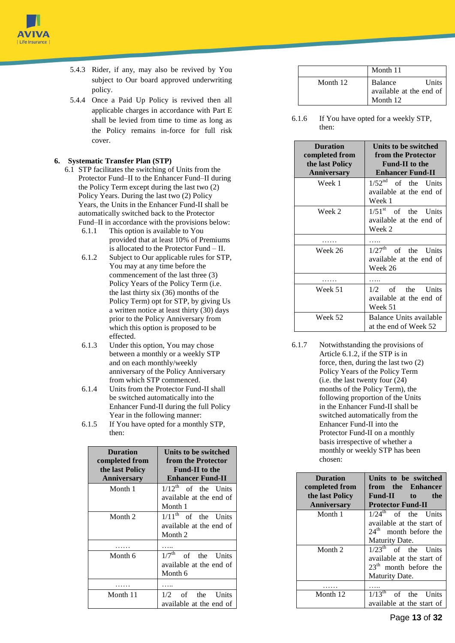

- 5.4.3 Rider, if any, may also be revived by You subject to Our board approved underwriting policy.
- 5.4.4 Once a Paid Up Policy is revived then all applicable charges in accordance with Part E shall be levied from time to time as long as the Policy remains in-force for full risk cover.

#### **6. Systematic Transfer Plan (STP)**

- 6.1 STP facilitates the switching of Units from the Protector Fund–II to the Enhancer Fund–II during the Policy Term except during the last two (2) Policy Years. During the last two (2) Policy Years, the Units in the Enhancer Fund-II shall be automatically switched back to the Protector Fund–II in accordance with the provisions below:
	- 6.1.1 This option is available to You provided that at least 10% of Premiums is allocated to the Protector Fund – II.
	- 6.1.2 Subject to Our applicable rules for STP, You may at any time before the commencement of the last three (3) Policy Years of the Policy Term (i.e. the last thirty six (36) months of the Policy Term) opt for STP, by giving Us a written notice at least thirty (30) days prior to the Policy Anniversary from which this option is proposed to be effected.
	- 6.1.3 Under this option, You may chose between a monthly or a weekly STP and on each monthly/weekly anniversary of the Policy Anniversary from which STP commenced.
	- 6.1.4 Units from the Protector Fund-II shall be switched automatically into the Enhancer Fund-II during the full Policy Year in the following manner:
	- 6.1.5 If You have opted for a monthly STP, then:

| <b>Duration</b><br>completed from<br>the last Policy<br>Anniversary | Units to be switched<br>from the Protector<br><b>Fund-II</b> to the<br><b>Enhancer Fund-II</b> |  |  |  |  |  |  |
|---------------------------------------------------------------------|------------------------------------------------------------------------------------------------|--|--|--|--|--|--|
| Month 1                                                             | $1/12^{\text{th}}$ of the Units<br>available at the end of<br>Month 1                          |  |  |  |  |  |  |
| Month 2                                                             | $1/11^{\text{th}}$ of the Units<br>available at the end of<br>Month 2                          |  |  |  |  |  |  |
|                                                                     |                                                                                                |  |  |  |  |  |  |
| Month 6                                                             | $1/7$ <sup>th</sup><br>of the Units<br>available at the end of<br>Month 6                      |  |  |  |  |  |  |
|                                                                     |                                                                                                |  |  |  |  |  |  |
| Month 11                                                            | of the Units<br>1/2<br>available at the end of                                                 |  |  |  |  |  |  |

|          | Month 11                                                |
|----------|---------------------------------------------------------|
| Month 12 | Balance<br>Units<br>available at the end of<br>Month 12 |

6.1.6 If You have opted for a weekly STP, then:

| <b>Duration</b><br>completed from<br>the last Policy<br><b>Anniversary</b> | Units to be switched<br>from the Protector<br><b>Fund-II</b> to the<br><b>Enhancer Fund-II</b> |  |  |  |  |  |  |  |
|----------------------------------------------------------------------------|------------------------------------------------------------------------------------------------|--|--|--|--|--|--|--|
| Week 1                                                                     | $1/52nd$ of the Units<br>available at the end of<br>Week 1                                     |  |  |  |  |  |  |  |
| Week 2                                                                     | $1/51st$ of the Units<br>available at the end of<br>Week 2                                     |  |  |  |  |  |  |  |
|                                                                            |                                                                                                |  |  |  |  |  |  |  |
| Week 26                                                                    | $1/27^{\text{th}}$<br>of the Units<br>available at the end of<br>Week 26                       |  |  |  |  |  |  |  |
|                                                                            |                                                                                                |  |  |  |  |  |  |  |
| Week 51                                                                    | $1/2$ of the Units<br>available at the end of<br>Week 51                                       |  |  |  |  |  |  |  |
| Week 52                                                                    | Balance Units available<br>at the end of Week 52                                               |  |  |  |  |  |  |  |

6.1.7 Notwithstanding the provisions of Article 6.1.2, if the STP is in force, then, during the last two (2) Policy Years of the Policy Term (i.e. the last twenty four (24) months of the Policy Term), the following proportion of the Units in the Enhancer Fund-II shall be switched automatically from the Enhancer Fund-II into the Protector Fund-II on a monthly basis irrespective of whether a monthly or weekly STP has been chosen:

| <b>Duration</b><br>completed from | Units to be switched<br>from the Enhancer    |
|-----------------------------------|----------------------------------------------|
| the last Policy                   | Fund-II to<br>the                            |
| Anniversary                       | <b>Protector Fund-II</b>                     |
| Month 1                           | $\overline{1/24}$ <sup>th</sup> of the Units |
|                                   | available at the start of                    |
|                                   | 24 <sup>th</sup> month before the            |
|                                   | Maturity Date.                               |
| Month <sub>2</sub>                | $\overline{1/2}3^{th}$ of the Units          |
|                                   | available at the start of                    |
|                                   | $23th$ month before the                      |
|                                   | Maturity Date.                               |
|                                   |                                              |
| Month 12                          | $1/13^{th}$<br>of the Units                  |
|                                   | available at the start of                    |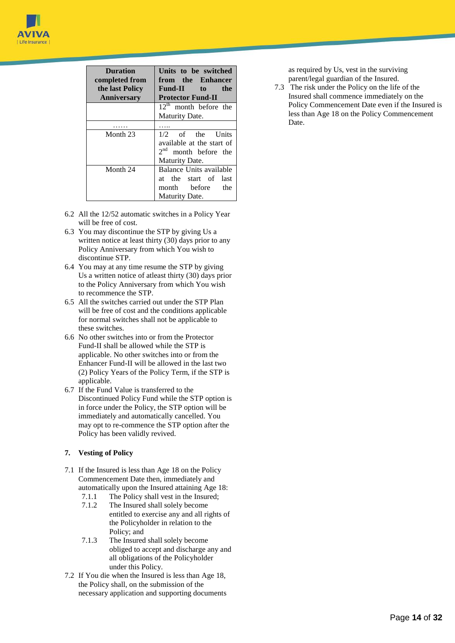

| <b>Duration</b><br>completed from<br>the last Policy<br>Anniversary | Units to be switched<br>from the Enhancer<br>Fund-II to<br>the<br><b>Protector Fund-II</b> |  |  |  |  |  |  |
|---------------------------------------------------------------------|--------------------------------------------------------------------------------------------|--|--|--|--|--|--|
|                                                                     | $12th$ month before the                                                                    |  |  |  |  |  |  |
|                                                                     | Maturity Date.                                                                             |  |  |  |  |  |  |
| .                                                                   |                                                                                            |  |  |  |  |  |  |
| Month <sub>23</sub>                                                 | $1/2$ of the Units<br>available at the start of                                            |  |  |  |  |  |  |
|                                                                     | $2nd$ month before the                                                                     |  |  |  |  |  |  |
|                                                                     | Maturity Date.                                                                             |  |  |  |  |  |  |
| Month <sub>24</sub>                                                 | Balance Units available                                                                    |  |  |  |  |  |  |
|                                                                     | at the start of last                                                                       |  |  |  |  |  |  |
|                                                                     | month before the                                                                           |  |  |  |  |  |  |
|                                                                     | Maturity Date.                                                                             |  |  |  |  |  |  |

- 6.2 All the 12/52 automatic switches in a Policy Year will be free of cost.
- 6.3 You may discontinue the STP by giving Us a written notice at least thirty (30) days prior to any Policy Anniversary from which You wish to discontinue STP.
- 6.4 You may at any time resume the STP by giving Us a written notice of atleast thirty (30) days prior to the Policy Anniversary from which You wish to recommence the STP.
- 6.5 All the switches carried out under the STP Plan will be free of cost and the conditions applicable for normal switches shall not be applicable to these switches.
- 6.6 No other switches into or from the Protector Fund-II shall be allowed while the STP is applicable. No other switches into or from the Enhancer Fund-II will be allowed in the last two (2) Policy Years of the Policy Term, if the STP is applicable.
- 6.7 If the Fund Value is transferred to the Discontinued Policy Fund while the STP option is in force under the Policy, the STP option will be immediately and automatically cancelled. You may opt to re-commence the STP option after the Policy has been validly revived.

# **7. Vesting of Policy**

- 7.1 If the Insured is less than Age 18 on the Policy Commencement Date then, immediately and automatically upon the Insured attaining Age 18:
	- 7.1.1 The Policy shall vest in the Insured;
	- 7.1.2 The Insured shall solely become entitled to exercise any and all rights of the Policyholder in relation to the Policy; and
	- 7.1.3 The Insured shall solely become obliged to accept and discharge any and all obligations of the Policyholder under this Policy.
- 7.2 If You die when the Insured is less than Age 18, the Policy shall, on the submission of the necessary application and supporting documents

as required by Us, vest in the surviving parent/legal guardian of the Insured.

7.3 The risk under the Policy on the life of the Insured shall commence immediately on the Policy Commencement Date even if the Insured is less than Age 18 on the Policy Commencement Date.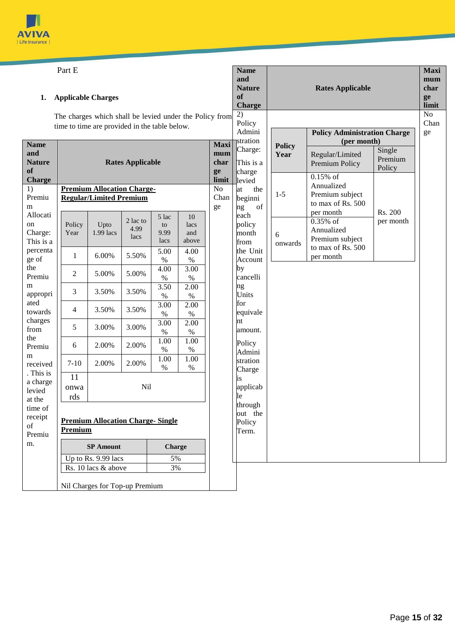

|                       | Part E                    |                                                                     |                         |                           |                   |                                      | <b>Name</b><br>and    |                         |                                      |                     | <b>Maxi</b><br>mum |
|-----------------------|---------------------------|---------------------------------------------------------------------|-------------------------|---------------------------|-------------------|--------------------------------------|-----------------------|-------------------------|--------------------------------------|---------------------|--------------------|
| 1.                    | <b>Applicable Charges</b> |                                                                     |                         |                           |                   | <b>Nature</b><br>of<br><b>Charge</b> |                       | <b>Rates Applicable</b> |                                      | char<br>ge<br>limit |                    |
|                       |                           | The charges which shall be levied under the Policy from             |                         |                           |                   |                                      | 2)                    |                         |                                      |                     | N <sub>o</sub>     |
|                       |                           | time to time are provided in the table below.                       |                         |                           |                   |                                      | Policy<br>Admini      |                         | <b>Policy Administration Charge</b>  |                     | Chan<br>ge         |
| <b>Name</b>           |                           |                                                                     |                         |                           |                   | Maxi                                 | stration              | <b>Policy</b>           | (per month)                          |                     |                    |
| and                   |                           |                                                                     |                         |                           |                   | mum                                  | Charge:               | Year                    | Regular/Limited                      | Single<br>Premium   |                    |
| <b>Nature</b><br>of   |                           |                                                                     | <b>Rates Applicable</b> |                           |                   | char<br>ge                           | This is a<br>charge   |                         | Premium Policy                       | Policy              |                    |
| <b>Charge</b>         |                           |                                                                     |                         |                           |                   | limit                                | levied                |                         | $0.15%$ of<br>Annualized             |                     |                    |
| 1)<br>Premiu          |                           | <b>Premium Allocation Charge-</b><br><b>Regular/Limited Premium</b> |                         |                           |                   | N <sub>o</sub><br>Chan               | lat<br>the<br>beginni | $1 - 5$                 | Premium subject                      |                     |                    |
| m                     |                           |                                                                     |                         |                           |                   | ge                                   | of<br>ng              |                         | to max of Rs. 500<br>per month       | Rs. 200             |                    |
| Allocati<br>on        | Policy                    | Upto                                                                | 2 lac to                | 5 lac<br>to               | 10<br>lacs        |                                      | each<br>policy        |                         | $0.35%$ of                           | per month           |                    |
| Charge:               | Year                      | 1.99 lacs                                                           | 4.99<br>lacs            | 9.99                      | and               |                                      | month                 | 6                       | Annualized                           |                     |                    |
| This is a<br>percenta |                           |                                                                     |                         | lacs                      | above             |                                      | from                  | onwards                 | Premium subject<br>to max of Rs. 500 |                     |                    |
| ge of                 | 1                         | 6.00%                                                               | 5.50%                   | 5.00<br>$\%$              | 4.00<br>$\%$      |                                      | the Unit<br>Account   |                         | per month                            |                     |                    |
| the                   | 2                         | 5.00%                                                               | 5.00%                   | 4.00                      | $\overline{3.00}$ |                                      | by                    |                         |                                      |                     |                    |
| Premiu<br>m           |                           |                                                                     |                         | $\%$<br>3.50              | $\%$<br>2.00      |                                      | cancelli<br>ng        |                         |                                      |                     |                    |
| appropri              | 3                         | 3.50%                                                               | 3.50%                   | $\%$                      | $\%$              |                                      | Units                 |                         |                                      |                     |                    |
| ated<br>towards       | $\overline{4}$            | 3.50%                                                               | 3.50%                   | $\overline{3.00}$         | 2.00              |                                      | for                   |                         |                                      |                     |                    |
| charges               |                           |                                                                     |                         | $\%$<br>$\overline{3.00}$ | $\%$<br>2.00      |                                      | equivale<br>nt        |                         |                                      |                     |                    |
| from                  | 5                         | 3.00%                                                               | 3.00%                   | $\%$                      | $\%$              |                                      | amount.               |                         |                                      |                     |                    |
| the<br>Premiu         | 6                         | 2.00%                                                               | 2.00%                   | 1.00                      | 1.00              |                                      | Policy                |                         |                                      |                     |                    |
| m                     |                           |                                                                     |                         | $\%$<br>1.00              | $\%$<br>1.00      |                                      | Admini<br>stration    |                         |                                      |                     |                    |
| received<br>. This is | $7-10$                    | 2.00%                                                               | 2.00%                   | $\%$                      | $\%$              |                                      | Charge                |                         |                                      |                     |                    |
| a charge              | 11                        |                                                                     | Nil                     |                           |                   |                                      | is                    |                         |                                      |                     |                    |
| levied<br>at the      | onwa<br>rds               |                                                                     |                         |                           |                   |                                      | applicab<br>le        |                         |                                      |                     |                    |
| time of               |                           |                                                                     |                         |                           |                   |                                      | through               |                         |                                      |                     |                    |
| receipt               |                           | <b>Premium Allocation Charge-Single</b>                             |                         |                           |                   |                                      | out the<br>Policy     |                         |                                      |                     |                    |
| of<br>Premiu          | Premium                   |                                                                     |                         |                           |                   |                                      | Term.                 |                         |                                      |                     |                    |
| m.                    |                           | <b>SP Amount</b>                                                    |                         | Charge                    |                   |                                      |                       |                         |                                      |                     |                    |
|                       |                           | Up to Rs. 9.99 lacs                                                 |                         | 5%                        |                   |                                      |                       |                         |                                      |                     |                    |
|                       |                           | Rs. 10 lacs & above                                                 |                         | 3%                        |                   |                                      |                       |                         |                                      |                     |                    |
|                       |                           | Nil Charges for Top-up Premium                                      |                         |                           |                   |                                      |                       |                         |                                      |                     |                    |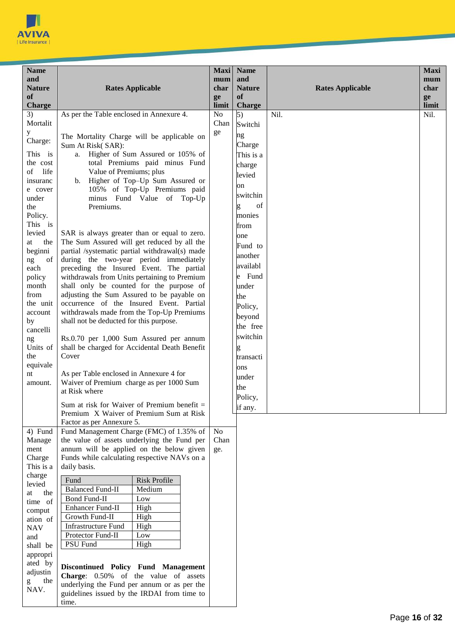

| <b>Name</b>                |                                                                                       | <b>Maxi</b>    | <b>Name</b>                |                         | <b>Maxi</b> |
|----------------------------|---------------------------------------------------------------------------------------|----------------|----------------------------|-------------------------|-------------|
| and                        |                                                                                       | mum            | and                        |                         | mum         |
| <b>Nature</b><br><b>of</b> | <b>Rates Applicable</b>                                                               | char           | <b>Nature</b><br><b>of</b> | <b>Rates Applicable</b> | char        |
| <b>Charge</b>              |                                                                                       | ge<br>limit    | <b>Charge</b>              |                         | ge<br>limit |
| 3)                         | As per the Table enclosed in Annexure 4.                                              | No             | 5)                         | Nil.                    | Nil.        |
| Mortalit                   |                                                                                       | Chan           | Switchi                    |                         |             |
| y                          | The Mortality Charge will be applicable on                                            | ge             | ng                         |                         |             |
| Charge:                    | Sum At Risk(SAR):                                                                     |                | Charge                     |                         |             |
| This is                    | a. Higher of Sum Assured or 105% of                                                   |                | This is a                  |                         |             |
| the cost<br>of<br>life     | total Premiums paid minus Fund<br>Value of Premiums; plus                             |                | charge                     |                         |             |
| insuranc                   | b. Higher of Top-Up Sum Assured or                                                    |                | levied                     |                         |             |
| e cover                    | 105% of Top-Up Premiums paid                                                          |                | on                         |                         |             |
| under                      | minus Fund Value of Top-Up                                                            |                | switchin<br>of             |                         |             |
| the<br>Policy.             | Premiums.                                                                             |                | g<br>monies                |                         |             |
| This is                    |                                                                                       |                | from                       |                         |             |
| levied                     | SAR is always greater than or equal to zero.                                          |                | one                        |                         |             |
| at<br>the                  | The Sum Assured will get reduced by all the                                           |                | Fund to                    |                         |             |
| beginni                    | partial /systematic partial withdrawal(s) made                                        |                | another                    |                         |             |
| of<br>ng<br>each           | during the two-year period immediately<br>preceding the Insured Event. The partial    |                | availabl                   |                         |             |
| policy                     | withdrawals from Units pertaining to Premium                                          |                | e Fund                     |                         |             |
| month                      | shall only be counted for the purpose of                                              |                | under                      |                         |             |
| from                       | adjusting the Sum Assured to be payable on                                            |                | the                        |                         |             |
| the unit<br>account        | occurrence of the Insured Event. Partial<br>withdrawals made from the Top-Up Premiums |                | Policy,                    |                         |             |
| by                         | shall not be deducted for this purpose.                                               |                | beyond                     |                         |             |
| cancelli                   |                                                                                       |                | the free                   |                         |             |
| ng                         | Rs.0.70 per 1,000 Sum Assured per annum                                               |                | switchin                   |                         |             |
| Units of<br>the            | shall be charged for Accidental Death Benefit<br>Cover                                |                |                            |                         |             |
| equivale                   |                                                                                       |                | transacti<br>ons           |                         |             |
| nt                         | As per Table enclosed in Annexure 4 for                                               |                | under                      |                         |             |
| amount.                    | Waiver of Premium charge as per 1000 Sum                                              |                | the                        |                         |             |
|                            | at Risk where                                                                         |                | Policy,                    |                         |             |
|                            | Sum at risk for Waiver of Premium benefit $=$                                         |                | if any.                    |                         |             |
|                            | Premium X Waiver of Premium Sum at Risk<br>Factor as per Annexure 5.                  |                |                            |                         |             |
| 4) Fund                    | Fund Management Charge (FMC) of 1.35% of                                              | N <sub>o</sub> |                            |                         |             |
| Manage                     | the value of assets underlying the Fund per                                           | Chan           |                            |                         |             |
| ment                       | annum will be applied on the below given                                              | ge.            |                            |                         |             |
| Charge<br>This is a        | Funds while calculating respective NAVs on a                                          |                |                            |                         |             |
| charge                     | daily basis.                                                                          |                |                            |                         |             |
| levied                     | Fund<br>Risk Profile                                                                  |                |                            |                         |             |
| the<br>at                  | <b>Balanced Fund-II</b><br>Medium<br><b>Bond Fund-II</b><br>Low                       |                |                            |                         |             |
| time of                    | Enhancer Fund-II<br>High                                                              |                |                            |                         |             |
| comput<br>ation of         | Growth Fund-II<br>High                                                                |                |                            |                         |             |
| <b>NAV</b>                 | Infrastructure Fund<br>High                                                           |                |                            |                         |             |
| and                        | Protector Fund-II<br>Low                                                              |                |                            |                         |             |
| shall be                   | PSU Fund<br>High                                                                      |                |                            |                         |             |
| appropri<br>ated by        |                                                                                       |                |                            |                         |             |
| adjustin                   | Discontinued Policy Fund Management<br>Charge: 0.50% of the value of assets           |                |                            |                         |             |
| the<br>g                   | underlying the Fund per annum or as per the                                           |                |                            |                         |             |
| NAV.                       | guidelines issued by the IRDAI from time to                                           |                |                            |                         |             |
|                            | time.                                                                                 |                |                            |                         |             |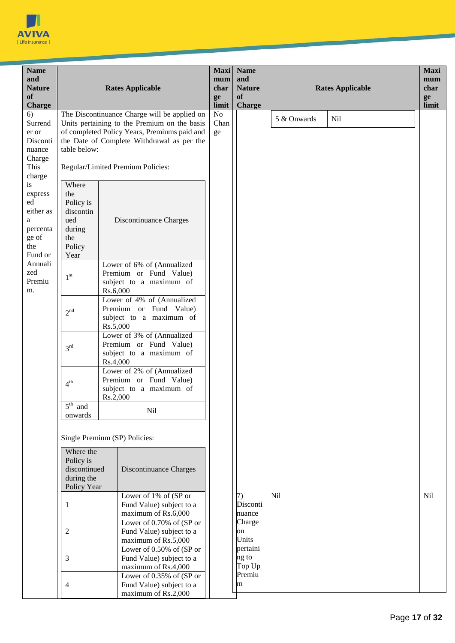

| <b>Name</b><br>and<br><b>Nature</b><br><b>of</b><br><b>Charge</b>              |                                                                                                      |          | <b>Rates Applicable</b>                                                                                                                                                                                                         | <b>Maxi</b><br>mum<br>char<br>ge<br>limit | <b>Name</b><br>and<br><b>Nature</b><br>of<br><b>Charge</b> |             | <b>Rates Applicable</b> | <b>Maxi</b><br>mum<br>char<br>ge<br>limit |
|--------------------------------------------------------------------------------|------------------------------------------------------------------------------------------------------|----------|---------------------------------------------------------------------------------------------------------------------------------------------------------------------------------------------------------------------------------|-------------------------------------------|------------------------------------------------------------|-------------|-------------------------|-------------------------------------------|
| 6)<br>Surrend<br>er or<br>Disconti<br>nuance<br>Charge<br>This<br>charge<br>is | table below:<br>Where                                                                                |          | The Discontinuance Charge will be applied on<br>Units pertaining to the Premium on the basis<br>of completed Policy Years, Premiums paid and<br>the Date of Complete Withdrawal as per the<br>Regular/Limited Premium Policies: | No<br>Chan<br>ge                          |                                                            | 5 & Onwards | Nil                     |                                           |
| express<br>ed<br>either as<br>a<br>percenta<br>ge of<br>the<br>Fund or         | the<br>Policy is<br>discontin<br>ued<br>during<br>the<br>Policy<br>Year                              |          | Discontinuance Charges                                                                                                                                                                                                          |                                           |                                                            |             |                         |                                           |
| Annuali<br>zed<br>Premiu<br>m.                                                 | 1 <sup>st</sup>                                                                                      | Rs.6,000 | Lower of 6% of (Annualized<br>Premium or Fund Value)<br>subject to a maximum of                                                                                                                                                 |                                           |                                                            |             |                         |                                           |
|                                                                                | 2 <sup>nd</sup>                                                                                      | Rs.5,000 | Lower of 4% of (Annualized<br>Premium or Fund Value)<br>subject to a maximum of                                                                                                                                                 |                                           |                                                            |             |                         |                                           |
|                                                                                | 3 <sup>rd</sup>                                                                                      | Rs.4,000 | Lower of 3% of (Annualized<br>Premium or Fund Value)<br>subject to a maximum of                                                                                                                                                 |                                           |                                                            |             |                         |                                           |
|                                                                                | 4 <sup>th</sup>                                                                                      | Rs.2,000 | Lower of 2% of (Annualized<br>Premium or Fund Value)<br>subject to a maximum of                                                                                                                                                 |                                           |                                                            |             |                         |                                           |
|                                                                                | $5th$ and<br>onwards                                                                                 |          | <b>Nil</b>                                                                                                                                                                                                                      |                                           |                                                            |             |                         |                                           |
|                                                                                | Single Premium (SP) Policies:<br>Where the<br>Policy is<br>discontinued<br>during the<br>Policy Year |          | Discontinuance Charges                                                                                                                                                                                                          |                                           |                                                            |             |                         |                                           |
|                                                                                | 1                                                                                                    |          | Lower of 1% of (SP or<br>Fund Value) subject to a<br>maximum of Rs.6,000                                                                                                                                                        |                                           | (7)<br>Disconti<br>nuance                                  | Nil         |                         | Nil                                       |
|                                                                                | $\overline{2}$                                                                                       |          | Lower of 0.70% of (SP or<br>Fund Value) subject to a<br>maximum of Rs.5,000                                                                                                                                                     |                                           | Charge<br>on<br>Units                                      |             |                         |                                           |
|                                                                                | 3                                                                                                    |          | Lower of 0.50% of (SP or<br>Fund Value) subject to a<br>maximum of Rs.4,000                                                                                                                                                     |                                           | pertaini<br>ng to<br>Top Up                                |             |                         |                                           |
|                                                                                | 4                                                                                                    |          | Lower of 0.35% of (SP or<br>Fund Value) subject to a<br>maximum of Rs.2,000                                                                                                                                                     |                                           | Premiu<br>m                                                |             |                         |                                           |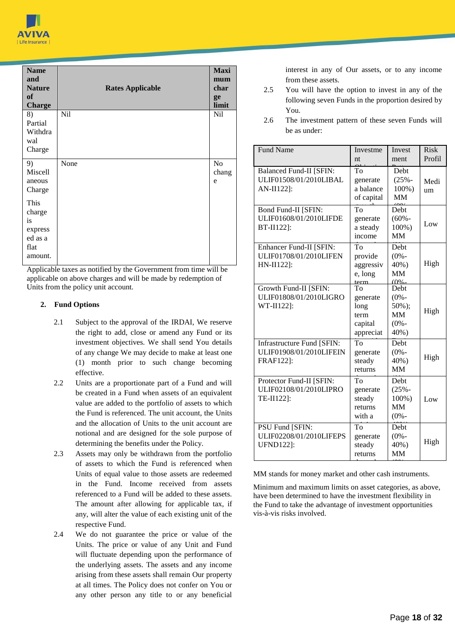

| <b>Name</b>   |                         | <b>Maxi</b>    |
|---------------|-------------------------|----------------|
| and           |                         | mum            |
| <b>Nature</b> | <b>Rates Applicable</b> | char           |
| <b>of</b>     |                         | ge             |
| <b>Charge</b> |                         | limit          |
| 8)            | Nil                     | Nil            |
| Partial       |                         |                |
| Withdra       |                         |                |
| wal           |                         |                |
| Charge        |                         |                |
|               |                         |                |
| 9)            | None                    | N <sub>o</sub> |
| Miscell       |                         | chang          |
| aneous        |                         | e              |
| Charge        |                         |                |
| This          |                         |                |
|               |                         |                |
| charge        |                         |                |
| is            |                         |                |
| express       |                         |                |
| ed as a       |                         |                |
| flat          |                         |                |
| amount.       |                         |                |

Applicable taxes as notified by the Government from time will be applicable on above charges and will be made by redemption of Units from the policy unit account.

#### **2. Fund Options**

- 2.1 Subject to the approval of the IRDAI, We reserve the right to add, close or amend any Fund or its investment objectives. We shall send You details of any change We may decide to make at least one (1) month prior to such change becoming effective.
- 2.2 Units are a proportionate part of a Fund and will be created in a Fund when assets of an equivalent value are added to the portfolio of assets to which the Fund is referenced. The unit account, the Units and the allocation of Units to the unit account are notional and are designed for the sole purpose of determining the benefits under the Policy.
- 2.3 Assets may only be withdrawn from the portfolio of assets to which the Fund is referenced when Units of equal value to those assets are redeemed in the Fund. Income received from assets referenced to a Fund will be added to these assets. The amount after allowing for applicable tax, if any, will alter the value of each existing unit of the respective Fund.
- 2.4 We do not guarantee the price or value of the Units. The price or value of any Unit and Fund will fluctuate depending upon the performance of the underlying assets. The assets and any income arising from these assets shall remain Our property at all times. The Policy does not confer on You or any other person any title to or any beneficial

interest in any of Our assets, or to any income from these assets.

- 2.5 You will have the option to invest in any of the following seven Funds in the proportion desired by You.
- 2.6 The investment pattern of these seven Funds will be as under:

| Fund Name                                                                 | Investme<br>nt                                         | Invest<br>ment                                        | <b>Risk</b><br>Profil |
|---------------------------------------------------------------------------|--------------------------------------------------------|-------------------------------------------------------|-----------------------|
| <b>Balanced Fund-II [SFIN:</b><br>ULIF01508/01/2010LIBAL<br>AN-II122]:    | To<br>generate<br>a balance<br>of capital              | Debt<br>$(25% -$<br>100%)<br><b>MM</b>                | Medi<br>um            |
| Bond Fund-II [SFIN:<br>ULIF01608/01/2010LIFDE<br>BT-II122]:               | To<br>generate<br>a steady<br>income                   | Debt<br>$(60% -$<br>100%)<br><b>MM</b>                | Low                   |
| Enhancer Fund-II [SFIN:<br>ULIF01708/01/2010LIFEN<br>HN-II122]:           | Tο<br>provide<br>aggressiv<br>e, long<br>term          | Debt<br>$(0% -$<br>40%)<br><b>MM</b><br>$(0\%$        | High                  |
| Growth Fund-II [SFIN:<br>ULIF01808/01/2010LIGRO<br>WT-II122]:             | Tο<br>generate<br>long<br>term<br>capital<br>appreciat | Debt<br>$(0% -$<br>$50\%$ );<br>MM<br>$(0% -$<br>40%) | High                  |
| <b>Infrastructure Fund [SFIN:</b><br>ULIF01908/01/2010LIFEIN<br>FRAF122]: | To<br>generate<br>steady<br>returns                    | Debt<br>$(0% -$<br>40%)<br><b>MM</b>                  | High                  |
| Protector Fund-II [SFIN:<br>ULIF02108/01/2010LIPRO<br>TE-II122]:          | Tο<br>generate<br>steady<br>returns<br>with a          | Debt<br>$(25% -$<br>100%)<br>MM<br>$(0% -$            | Low                   |
| PSU Fund [SFIN:<br>ULIF02208/01/2010LIFEPS<br><b>UFND122]:</b>            | To<br>generate<br>steady<br>returns                    | Debt<br>$(0% -$<br>40%)<br>MM                         | High                  |

MM stands for money market and other cash instruments.

n asse have been determined to have the investment flexibility in the Fund to take the advantage of investment opportunities (60%- Minimum and maximum limits on asset categories, as above, vis-à-vis risks involved.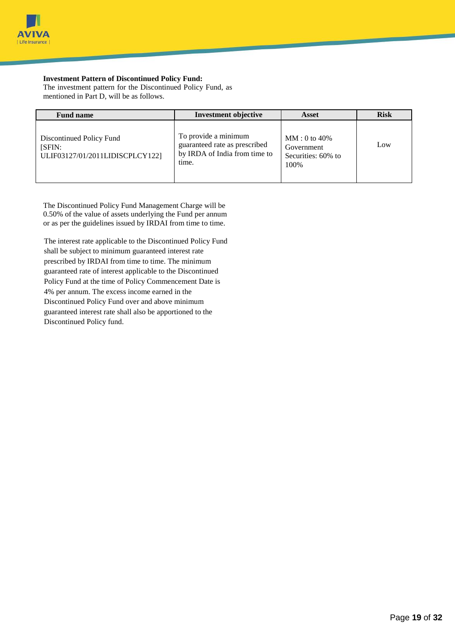

## **Investment Pattern of Discontinued Policy Fund:**

The investment pattern for the Discontinued Policy Fund, as mentioned in Part D, will be as follows.

| <b>Fund name</b>                                                      | <b>Investment objective</b>                                                                     | Asset                                                      | <b>Risk</b> |  |  |
|-----------------------------------------------------------------------|-------------------------------------------------------------------------------------------------|------------------------------------------------------------|-------------|--|--|
| Discontinued Policy Fund<br>[SFIN:<br>ULIF03127/01/2011LIDISCPLCY122] | To provide a minimum<br>guaranteed rate as prescribed<br>by IRDA of India from time to<br>time. | $MM:0$ to 40%<br>Government<br>Securities: 60% to<br>100\% | Low         |  |  |

The Discontinued Policy Fund Management Charge will be 0.50% of the value of assets underlying the Fund per annum or as per the guidelines issued by IRDAI from time to time.

The interest rate applicable to the Discontinued Policy Fund shall be subject to minimum guaranteed interest rate prescribed by IRDAI from time to time. The minimum guaranteed rate of interest applicable to the Discontinued Policy Fund at the time of Policy Commencement Date is 4% per annum. The excess income earned in the Discontinued Policy Fund over and above minimum guaranteed interest rate shall also be apportioned to the Discontinued Policy fund.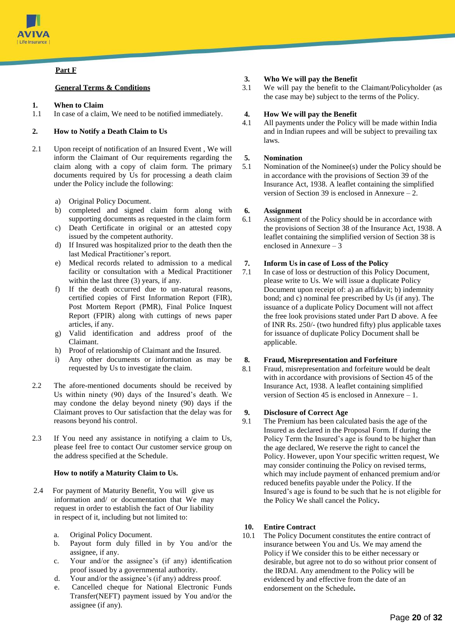

# **Part F**

# **General Terms & Conditions**

## **1. When to Claim**

1.1 In case of a claim, We need to be notified immediately.

# **2. How to Notify a Death Claim to Us**

- 2.1 Upon receipt of notification of an Insured Event , We will inform the Claimant of Our requirements regarding the claim along with a copy of claim form. The primary documents required by Us for processing a death claim under the Policy include the following:
	- a) Original Policy Document.
	- b) completed and signed claim form along with supporting documents as requested in the claim form
	- c) Death Certificate in original or an attested copy issued by the competent authority.
	- d) If Insured was hospitalized prior to the death then the last Medical Practitioner's report.
	- e) Medical records related to admission to a medical facility or consultation with a Medical Practitioner within the last three (3) years, if any.
	- f) If the death occurred due to un-natural reasons, certified copies of First Information Report (FIR), Post Mortem Report (PMR), Final Police Inquest Report (FPIR) along with cuttings of news paper articles, if any.
	- g) Valid identification and address proof of the Claimant.
	- h) Proof of relationship of Claimant and the Insured.
	- i) Any other documents or information as may be requested by Us to investigate the claim.
- 2.2 The afore-mentioned documents should be received by Us within ninety (90) days of the Insured's death. We may condone the delay beyond ninety (90) days if the Claimant proves to Our satisfaction that the delay was for reasons beyond his control.
- 2.3 If You need any assistance in notifying a claim to Us, please feel free to contact Our customer service group on the address specified at the Schedule.

#### **How to notify a Maturity Claim to Us.**

- 2.4 For payment of Maturity Benefit, You will give us information and/ or documentation that We may request in order to establish the fact of Our liability in respect of it, including but not limited to:
	- a. Original Policy Document.
	- b. Payout form duly filled in by You and/or the assignee, if any.
	- c. Your and/or the assignee's (if any) identification proof issued by a governmental authority.
	- d. Your and/or the assignee's (if any) address proof.
	- e. Cancelled cheque for National Electronic Funds Transfer(NEFT) payment issued by You and/or the assignee (if any).

## **3. Who We will pay the Benefit**

3.1 We will pay the benefit to the Claimant/Policyholder (as the case may be) subject to the terms of the Policy.

## **4. How We will pay the Benefit**

4.1 All payments under the Policy will be made within India and in Indian rupees and will be subject to prevailing tax laws.

# **5. Nomination**

Nomination of the Nominee(s) under the Policy should be in accordance with the provisions of Section 39 of the Insurance Act, 1938. A leaflet containing the simplified version of Section 39 is enclosed in Annexure – 2.

#### **6. Assignment**

6.1 Assignment of the Policy should be in accordance with the provisions of Section 38 of the Insurance Act, 1938. A leaflet containing the simplified version of Section 38 is enclosed in Annexure –  $3$ 

## **7. Inform Us in case of Loss of the Policy**

7.1 In case of loss or destruction of this Policy Document, please write to Us. We will issue a duplicate Policy Document upon receipt of: a) an affidavit; b) indemnity bond; and c) nominal fee prescribed by Us (if any). The issuance of a duplicate Policy Document will not affect the free look provisions stated under Part D above. A fee of INR Rs. 250/- (two hundred fifty) plus applicable taxes for issuance of duplicate Policy Document shall be applicable.

#### **8. Fraud, Misrepresentation and Forfeiture**

8.1 Fraud, misrepresentation and forfeiture would be dealt with in accordance with provisions of Section 45 of the Insurance Act, 1938. A leaflet containing simplified version of Section 45 is enclosed in Annexure – 1.

# **9. Disclosure of Correct Age**

9.1 The Premium has been calculated basis the age of the Insured as declared in the Proposal Form. If during the Policy Term the Insured's age is found to be higher than the age declared, We reserve the right to cancel the Policy. However, upon Your specific written request, We may consider continuing the Policy on revised terms, which may include payment of enhanced premium and/or reduced benefits payable under the Policy. If the Insured's age is found to be such that he is not eligible for the Policy We shall cancel the Policy**.**

# **10. Entire Contract**

10.1 The Policy Document constitutes the entire contract of insurance between You and Us. We may amend the Policy if We consider this to be either necessary or desirable, but agree not to do so without prior consent of the IRDAI. Any amendment to the Policy will be evidenced by and effective from the date of an endorsement on the Schedule**.**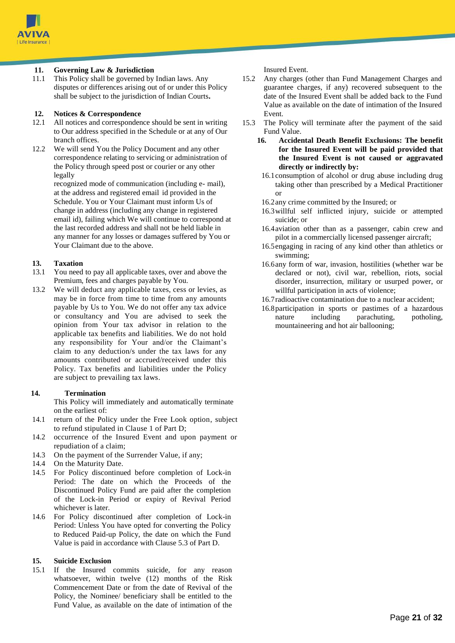

#### **11. Governing Law & Jurisdiction**

11.1 This Policy shall be governed by Indian laws. Any disputes or differences arising out of or under this Policy shall be subject to the jurisdiction of Indian Courts**.**

#### **12. Notices & Correspondence**

- 12.1 All notices and correspondence should be sent in writing to Our address specified in the Schedule or at any of Our branch offices.
- 12.2 We will send You the Policy Document and any other correspondence relating to servicing or administration of the Policy through speed post or courier or any other legally

recognized mode of communication (including e- mail), at the address and registered email id provided in the Schedule. You or Your Claimant must inform Us of change in address (including any change in registered email id), failing which We will continue to correspond at the last recorded address and shall not be held liable in any manner for any losses or damages suffered by You or Your Claimant due to the above.

## **13. Taxation**

- 13.1 You need to pay all applicable taxes, over and above the Premium, fees and charges payable by You.
- 13.2 We will deduct any applicable taxes, cess or levies, as may be in force from time to time from any amounts payable by Us to You. We do not offer any tax advice or consultancy and You are advised to seek the opinion from Your tax advisor in relation to the applicable tax benefits and liabilities. We do not hold any responsibility for Your and/or the Claimant's claim to any deduction/s under the tax laws for any amounts contributed or accrued/received under this Policy. Tax benefits and liabilities under the Policy are subject to prevailing tax laws.

#### **14. Termination**

This Policy will immediately and automatically terminate on the earliest of:

- 14.1 return of the Policy under the Free Look option, subject to refund stipulated in Clause 1 of Part D;
- 14.2 occurrence of the Insured Event and upon payment or repudiation of a claim;
- 14.3 On the payment of the Surrender Value, if any;
- 14.4 On the Maturity Date.
- 14.5 For Policy discontinued before completion of Lock-in Period: The date on which the Proceeds of the Discontinued Policy Fund are paid after the completion of the Lock-in Period or expiry of Revival Period whichever is later.
- 14.6 For Policy discontinued after completion of Lock-in Period: Unless You have opted for converting the Policy to Reduced Paid-up Policy, the date on which the Fund Value is paid in accordance with Clause 5.3 of Part D.

# **15. Suicide Exclusion**

15.1 If the Insured commits suicide, for any reason whatsoever, within twelve (12) months of the Risk Commencement Date or from the date of Revival of the Policy, the Nominee/ beneficiary shall be entitled to the Fund Value, as available on the date of intimation of the

Insured Event.

- 15.2 Any charges (other than Fund Management Charges and guarantee charges, if any) recovered subsequent to the date of the Insured Event shall be added back to the Fund Value as available on the date of intimation of the Insured Event.
- 15.3 The Policy will terminate after the payment of the said Fund Value.
	- **16. Accidental Death Benefit Exclusions: The benefit for the Insured Event will be paid provided that the Insured Event is not caused or aggravated directly or indirectly by:**
		- 16.1consumption of alcohol or drug abuse including drug taking other than prescribed by a Medical Practitioner or
		- 16.2any crime committed by the Insured; or
		- 16.3willful self inflicted injury, suicide or attempted suicide; or
		- 16.4aviation other than as a passenger, cabin crew and pilot in a commercially licensed passenger aircraft;
		- 16.5engaging in racing of any kind other than athletics or swimming;
		- 16.6any form of war, invasion, hostilities (whether war be declared or not), civil war, rebellion, riots, social disorder, insurrection, military or usurped power, or willful participation in acts of violence;
	- 16.7radioactive contamination due to a nuclear accident;
	- 16.8participation in sports or pastimes of a hazardous nature including parachuting, potholing, mountaineering and hot air ballooning;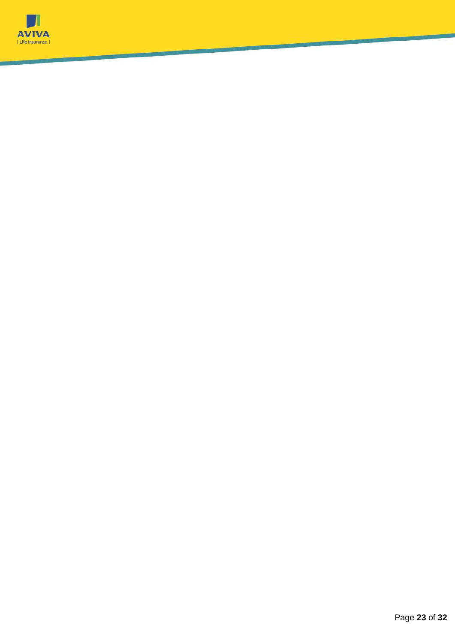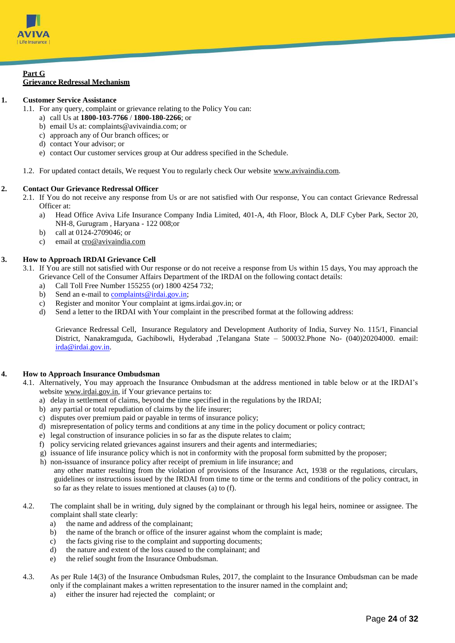

#### **Part G Grievance Redressal Mechanism**

#### **1. Customer Service Assistance**

- 1.1. For any query, complaint or grievance relating to the Policy You can:
	- a) call Us at **1800-103-7766** / **1800-180-2266**; or
	- b) email Us at: [complaints@avivaindia.com;](mailto:complaints@avivaindia.com) or
	- c) approach any of Our branch offices; or
	- d) contact Your advisor; or
	- e) contact Our customer services group at Our address specified in the Schedule.
- 1.2. For updated contact details, We request You to regularly check Our website [www.avivaindia.com.](http://www.avivaindia.com/)

#### **2. Contact Our Grievance Redressal Officer**

- 2.1. If You do not receive any response from Us or are not satisfied with Our response, You can contact Grievance Redressal Officer at:
	- a) Head Office Aviva Life Insurance Company India Limited, 401-A, 4th Floor, Block A, DLF Cyber Park, Sector 20, NH-8, Gurugram , Haryana - 122 008;or
	- b) call at 0124-2709046; or
	- c) email at [cro@avivaindia.com](mailto:cro@avivaindia.com)

#### **3. How to Approach IRDAI Grievance Cell**

- 3.1. If You are still not satisfied with Our response or do not receive a response from Us within 15 days, You may approach the Grievance Cell of the Consumer Affairs Department of the IRDAI on the following contact details:
	- a) Call Toll Free Number 155255 (or) 1800 4254 732;
	- b) Send an e-mail to complaints @irdai.gov.in;
	- c) Register and monitor Your complaint a[t igms.irdai.gov.in;](http://igms.irda.gov.in/) or
	- d) Send a letter to the IRDAI with Your complaint in the prescribed format at the following address:

Grievance Redressal Cell, Insurance Regulatory and Development Authority of India, Survey No. 115/1, Financial District, Nanakramguda, Gachibowli, Hyderabad ,Telangana State – 500032.Phone No- (040)20204000. email: [irda@irdai.gov.in.](mailto:irda@irda.gov.in)

#### **4. How to Approach Insurance Ombudsman**

- 4.1. Alternatively, You may approach the Insurance Ombudsman at the address mentioned in table below or at the IRDAI's website www.irdai.gov.in, if Your grievance pertains to:
	- a) delay in settlement of claims, beyond the time specified in the regulations by the IRDAI;
	- b) any partial or total repudiation of claims by the life insurer;
	- c) disputes over premium paid or payable in terms of insurance policy;
	- d) misrepresentation of policy terms and conditions at any time in the policy document or policy contract;
	- e) legal construction of insurance policies in so far as the dispute relates to claim;
	- f) policy servicing related grievances against insurers and their agents and intermediaries;
	- g) issuance of life insurance policy which is not in conformity with the proposal form submitted by the proposer;
	- h) non-issuance of insurance policy after receipt of premium in life insurance; and any other matter resulting from the violation of provisions of the Insurance Act, 1938 or the regulations, circulars, guidelines or instructions issued by the IRDAI from time to time or the terms and conditions of the policy contract, in so far as they relate to issues mentioned at clauses (a) to (f).
- 4.2. The complaint shall be in writing, duly signed by the complainant or through his legal heirs, nominee or assignee. The complaint shall state clearly:
	- a) the name and address of the complainant;
	- b) the name of the branch or office of the insurer against whom the complaint is made;
	- c) the facts giving rise to the complaint and supporting documents;
	- d) the nature and extent of the loss caused to the complainant; and
	- e) the relief sought from the Insurance Ombudsman.
- 4.3. As per Rule 14(3) of the Insurance Ombudsman Rules, 2017, the complaint to the Insurance Ombudsman can be made only if the complainant makes a written representation to the insurer named in the complaint and;
	- a) either the insurer had rejected the complaint; or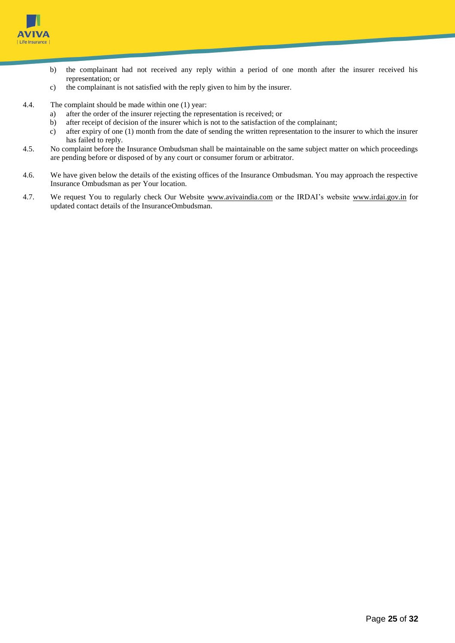

- b) the complainant had not received any reply within a period of one month after the insurer received his representation; or
- c) the complainant is not satisfied with the reply given to him by the insurer.
- 4.4. The complaint should be made within one (1) year:
	- a) after the order of the insurer rejecting the representation is received; or
	- b) after receipt of decision of the insurer which is not to the satisfaction of the complainant;
	- c) after expiry of one (1) month from the date of sending the written representation to the insurer to which the insurer has failed to reply.
- 4.5. No complaint before the Insurance Ombudsman shall be maintainable on the same subject matter on which proceedings are pending before or disposed of by any court or consumer forum or arbitrator.
- 4.6. We have given below the details of the existing offices of the Insurance Ombudsman. You may approach the respective Insurance Ombudsman as per Your location.
- 4.7. We request You to regularly check Our Website [www.avivaindia.com](http://www.avivaindia.com/) or the IRDAI's website [www.irdai.gov.in](http://www.irdai.gov.in/) for updated contact details of the InsuranceOmbudsman.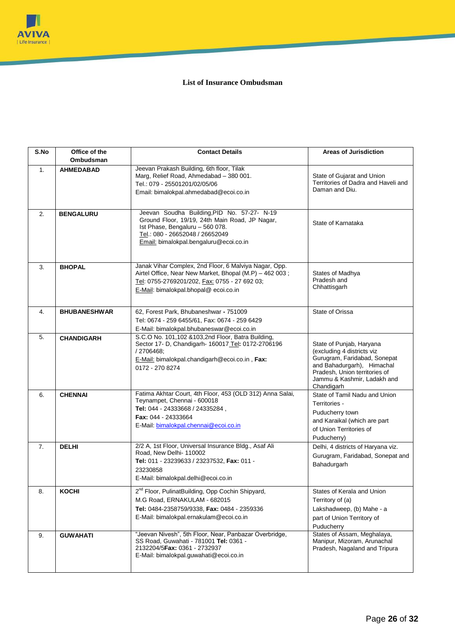

# **List of Insurance Ombudsman**

| S.No | Office of the<br><b>Ombudsman</b> | <b>Contact Details</b>                                                                                                                                                                                        | <b>Areas of Jurisdiction</b>                                                                                                                                                                       |
|------|-----------------------------------|---------------------------------------------------------------------------------------------------------------------------------------------------------------------------------------------------------------|----------------------------------------------------------------------------------------------------------------------------------------------------------------------------------------------------|
| 1.   | <b>AHMEDABAD</b>                  | Jeevan Prakash Building, 6th floor, Tilak<br>Marg, Relief Road, Ahmedabad - 380 001.<br>Tel.: 079 - 25501201/02/05/06<br>Email: bimalokpal.ahmedabad@ecoi.co.in                                               | State of Gujarat and Union<br>Territories of Dadra and Haveli and<br>Daman and Diu.                                                                                                                |
| 2.   | <b>BENGALURU</b>                  | Jeevan Soudha Building, PID No. 57-27- N-19<br>Ground Floor, 19/19, 24th Main Road, JP Nagar,<br>Ist Phase, Bengaluru - 560 078.<br>Tel.: 080 - 26652048 / 26652049<br>Email: bimalokpal.bengaluru@ecoi.co.in | State of Karnataka                                                                                                                                                                                 |
| 3.   | <b>BHOPAL</b>                     | Janak Vihar Complex, 2nd Floor, 6 Malviya Nagar, Opp.<br>Airtel Office, Near New Market, Bhopal (M.P) - 462 003;<br>Tel: 0755-2769201/202, Fax: 0755 - 27 692 03;<br>E-Mail: bimalokpal.bhopal@ ecoi.co.in    | States of Madhya<br>Pradesh and<br>Chhattisgarh                                                                                                                                                    |
| 4.   | <b>BHUBANESHWAR</b>               | 62, Forest Park, Bhubaneshwar - 751009<br>Tel: 0674 - 259 6455/61, Fax: 0674 - 259 6429<br>E-Mail: bimalokpal.bhubaneswar@ecoi.co.in                                                                          | State of Orissa                                                                                                                                                                                    |
| 5.   | <b>CHANDIGARH</b>                 | S.C.O No. 101,102 & 103, 2nd Floor, Batra Building,<br>Sector 17- D, Chandigarh- 160017 Tel: 0172-2706196<br>/ 2706468;<br>E-Mail: bimalokpal.chandigarh@ecoi.co.in, Fax:<br>0172 - 270 8274                  | State of Punjab, Haryana<br>(excluding 4 districts viz<br>Gurugram, Faridabad, Sonepat<br>and Bahadurgarh), Himachal<br>Pradesh, Union territories of<br>Jammu & Kashmir, Ladakh and<br>Chandigarh |
| 6.   | <b>CHENNAI</b>                    | Fatima Akhtar Court, 4th Floor, 453 (OLD 312) Anna Salai,<br>Teynampet, Chennai - 600018<br>Tel: 044 - 24333668 / 24335284,<br>Fax: 044 - 24333664<br>E-Mail: bimalokpal.chennai@ecoi.co.in                   | State of Tamil Nadu and Union<br>Territories -<br>Puducherry town<br>and Karaikal (which are part<br>of Union Territories of<br>Puducherry)                                                        |
| 7.   | <b>DELHI</b>                      | 2/2 A, 1st Floor, Universal Insurance Bldg., Asaf Ali<br>Road, New Delhi-110002<br>Tel: 011 - 23239633 / 23237532, Fax: 011 -<br>23230858<br>E-Mail: bimalokpal.delhi@ecoi.co.in                              | Delhi, 4 districts of Haryana viz.<br>Gurugram, Faridabad, Sonepat and<br>Bahadurgarh                                                                                                              |
| 8.   | <b>KOCHI</b>                      | 2 <sup>nd</sup> Floor, PulinatBuilding, Opp Cochin Shipyard,<br>M.G Road, ERNAKULAM - 682015<br>Tel: 0484-2358759/9338, Fax: 0484 - 2359336<br>E-Mail: bimalokpal.ernakulam@ecoi.co.in                        | States of Kerala and Union<br>Territory of (a)<br>Lakshadweep, (b) Mahe - a<br>part of Union Territory of<br>Puducherry                                                                            |
| 9.   | <b>GUWAHATI</b>                   | "Jeevan Nivesh", 5th Floor, Near, Panbazar Overbridge,<br>SS Road, Guwahati - 781001 Tel: 0361 -<br>2132204/5Fax: 0361 - 2732937<br>E-Mail: bimalokpal.guwahati@ecoi.co.in                                    | States of Assam, Meghalaya,<br>Manipur, Mizoram, Arunachal<br>Pradesh, Nagaland and Tripura                                                                                                        |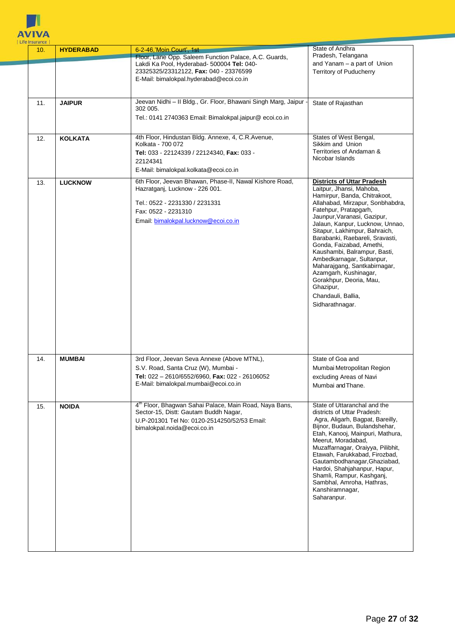

| e Insurance |  |                  |                                                                                                     |                                                                    |
|-------------|--|------------------|-----------------------------------------------------------------------------------------------------|--------------------------------------------------------------------|
| 10.         |  | <b>HYDERABAD</b> | 6-2-46, Moin Court', 1st                                                                            | <b>State of Andhra</b><br>Pradesh, Telangana                       |
|             |  |                  | Floor, Lane Opp. Saleem Function Palace, A.C. Guards,<br>Lakdi Ka Pool, Hyderabad- 500004 Tel: 040- | and Yanam - a part of Union                                        |
|             |  |                  | 23325325/23312122, Fax: 040 - 23376599                                                              | <b>Territory of Puducherry</b>                                     |
|             |  |                  | E-Mail: bimalokpal.hyderabad@ecoi.co.in                                                             |                                                                    |
|             |  |                  |                                                                                                     |                                                                    |
|             |  |                  |                                                                                                     |                                                                    |
| 11.         |  | <b>JAIPUR</b>    | Jeevan Nidhi - II Bldg., Gr. Floor, Bhawani Singh Marg, Jaipur                                      | State of Rajasthan                                                 |
|             |  |                  | 302 005.                                                                                            |                                                                    |
|             |  |                  | Tel.: 0141 2740363 Email: Bimalokpal.jaipur@ ecoi.co.in                                             |                                                                    |
|             |  |                  |                                                                                                     |                                                                    |
| 12.         |  | <b>KOLKATA</b>   | 4th Floor, Hindustan Bldg. Annexe, 4, C.R.Avenue,                                                   | States of West Bengal,                                             |
|             |  |                  | Kolkata - 700 072                                                                                   | Sikkim and Union                                                   |
|             |  |                  | Tel: 033 - 22124339 / 22124340, Fax: 033 -                                                          | Territories of Andaman &<br>Nicobar Islands                        |
|             |  |                  | 22124341                                                                                            |                                                                    |
|             |  |                  | E-Mail: bimalokpal.kolkata@ecoi.co.in                                                               |                                                                    |
| 13.         |  | <b>LUCKNOW</b>   | 6th Floor, Jeevan Bhawan, Phase-II, Nawal Kishore Road,                                             | <b>Districts of Uttar Pradesh</b>                                  |
|             |  |                  | Hazratganj, Lucknow - 226 001.                                                                      | Laitpur, Jhansi, Mahoba,                                           |
|             |  |                  |                                                                                                     | Hamirpur, Banda, Chitrakoot,                                       |
|             |  |                  | Tel.: 0522 - 2231330 / 2231331                                                                      | Allahabad, Mirzapur, Sonbhabdra,<br>Fatehpur, Pratapgarh,          |
|             |  |                  | Fax: 0522 - 2231310                                                                                 | Jaunpur, Varanasi, Gazipur,                                        |
|             |  |                  | Email: bimalokpal.lucknow@ecoi.co.in                                                                | Jalaun, Kanpur, Lucknow, Unnao,                                    |
|             |  |                  |                                                                                                     | Sitapur, Lakhimpur, Bahraich,                                      |
|             |  |                  |                                                                                                     | Barabanki, Raebareli, Sravasti,                                    |
|             |  |                  |                                                                                                     | Gonda, Faizabad, Amethi,<br>Kaushambi, Balrampur, Basti,           |
|             |  |                  |                                                                                                     | Ambedkarnagar, Sultanpur,                                          |
|             |  |                  |                                                                                                     | Maharajgang, Santkabirnagar,                                       |
|             |  |                  |                                                                                                     | Azamgarh, Kushinagar,                                              |
|             |  |                  |                                                                                                     | Gorakhpur, Deoria, Mau,                                            |
|             |  |                  |                                                                                                     | Ghazipur,                                                          |
|             |  |                  |                                                                                                     | Chandauli, Ballia,                                                 |
|             |  |                  |                                                                                                     | Sidharathnagar.                                                    |
|             |  |                  |                                                                                                     |                                                                    |
|             |  |                  |                                                                                                     |                                                                    |
|             |  |                  |                                                                                                     |                                                                    |
|             |  |                  |                                                                                                     |                                                                    |
|             |  |                  |                                                                                                     |                                                                    |
| 14.         |  | <b>MUMBAI</b>    | 3rd Floor, Jeevan Seva Annexe (Above MTNL),                                                         | State of Goa and                                                   |
|             |  |                  | S.V. Road, Santa Cruz (W), Mumbai -                                                                 | Mumbai Metropolitan Region                                         |
|             |  |                  | Tel: 022 - 2610/6552/6960, Fax: 022 - 26106052                                                      | excluding Areas of Navi                                            |
|             |  |                  | E-Mail: bimalokpal.mumbai@ecoi.co.in                                                                | Mumbai and Thane.                                                  |
|             |  |                  |                                                                                                     |                                                                    |
|             |  |                  | 4 <sup>th</sup> Floor, Bhagwan Sahai Palace, Main Road, Naya Bans,                                  | State of Uttaranchal and the                                       |
| 15.         |  | <b>NOIDA</b>     | Sector-15, Distt: Gautam Buddh Nagar,                                                               | districts of Uttar Pradesh:                                        |
|             |  |                  | U.P-201301 Tel No: 0120-2514250/52/53 Email:                                                        | Agra, Aligarh, Bagpat, Bareilly,                                   |
|             |  |                  | bimalokpal.noida@ecoi.co.in                                                                         | Bijnor, Budaun, Bulandshehar,                                      |
|             |  |                  |                                                                                                     | Etah, Kanooj, Mainpuri, Mathura,                                   |
|             |  |                  |                                                                                                     | Meerut, Moradabad,                                                 |
|             |  |                  |                                                                                                     | Muzaffarnagar, Oraiyya, Pilibhit,<br>Etawah, Farukkabad, Firozbad, |
|             |  |                  |                                                                                                     | Gautambodhanagar, Ghaziabad,                                       |
|             |  |                  |                                                                                                     | Hardoi, Shahjahanpur, Hapur,                                       |
|             |  |                  |                                                                                                     | Shamli, Rampur, Kashganj,                                          |
|             |  |                  |                                                                                                     | Sambhal, Amroha, Hathras,                                          |
|             |  |                  |                                                                                                     | Kanshiramnagar,                                                    |
|             |  |                  |                                                                                                     | Saharanpur.                                                        |
|             |  |                  |                                                                                                     |                                                                    |
|             |  |                  |                                                                                                     |                                                                    |
|             |  |                  |                                                                                                     |                                                                    |
|             |  |                  |                                                                                                     |                                                                    |
|             |  |                  |                                                                                                     |                                                                    |
|             |  |                  |                                                                                                     |                                                                    |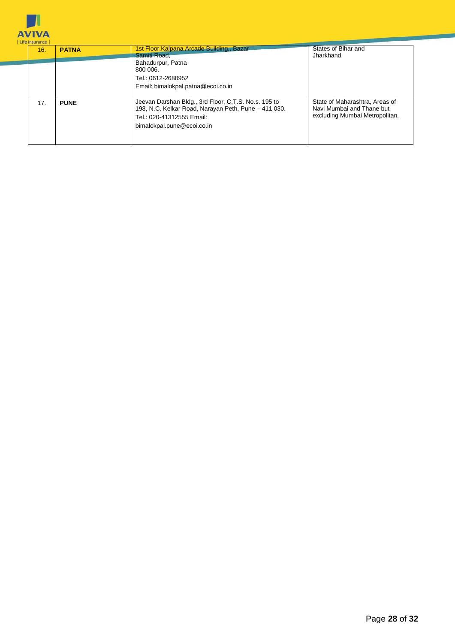

| Life insurance |              |                                                                                                                                                                         |                                                                                               |
|----------------|--------------|-------------------------------------------------------------------------------------------------------------------------------------------------------------------------|-----------------------------------------------------------------------------------------------|
| 16.            | <b>PATNA</b> | 1st Floor, Kalpana Arcade Building,, Bazar                                                                                                                              | States of Bihar and                                                                           |
|                |              | Samiti Road,                                                                                                                                                            | Jharkhand.                                                                                    |
|                |              | Bahadurpur, Patna                                                                                                                                                       |                                                                                               |
|                |              | 800 006.                                                                                                                                                                |                                                                                               |
|                |              | Tel.: 0612-2680952                                                                                                                                                      |                                                                                               |
|                |              | Email: bimalokpal.patna@ecoi.co.in                                                                                                                                      |                                                                                               |
|                |              |                                                                                                                                                                         |                                                                                               |
| 17.            | <b>PUNE</b>  | Jeevan Darshan Bldg., 3rd Floor, C.T.S. No.s. 195 to<br>198, N.C. Kelkar Road, Narayan Peth, Pune - 411 030.<br>Tel.: 020-41312555 Email:<br>bimalokpal.pune@ecoi.co.in | State of Maharashtra, Areas of<br>Navi Mumbai and Thane but<br>excluding Mumbai Metropolitan. |
|                |              |                                                                                                                                                                         |                                                                                               |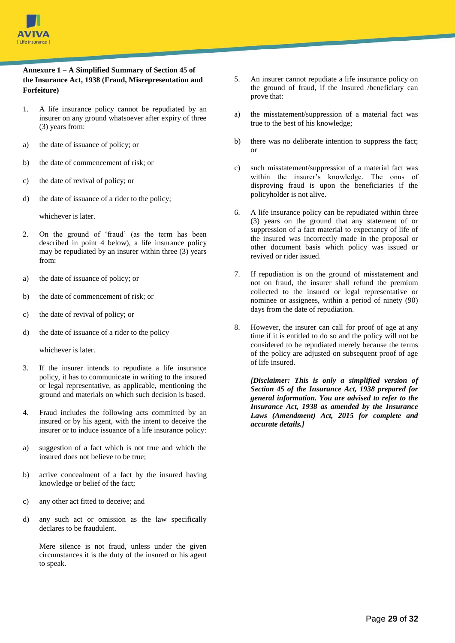

# **Annexure 1 – A Simplified Summary of Section 45 of the Insurance Act, 1938 (Fraud, Misrepresentation and Forfeiture)**

- 1. A life insurance policy cannot be repudiated by an insurer on any ground whatsoever after expiry of three (3) years from:
- a) the date of issuance of policy; or
- b) the date of commencement of risk; or
- c) the date of revival of policy; or
- d) the date of issuance of a rider to the policy;

whichever is later.

- 2. On the ground of 'fraud' (as the term has been described in point 4 below), a life insurance policy may be repudiated by an insurer within three (3) years from:
- a) the date of issuance of policy; or
- b) the date of commencement of risk; or
- c) the date of revival of policy; or
- d) the date of issuance of a rider to the policy

whichever is later.

- 3. If the insurer intends to repudiate a life insurance policy, it has to communicate in writing to the insured or legal representative, as applicable, mentioning the ground and materials on which such decision is based.
- 4. Fraud includes the following acts committed by an insured or by his agent, with the intent to deceive the insurer or to induce issuance of a life insurance policy:
- a) suggestion of a fact which is not true and which the insured does not believe to be true;
- b) active concealment of a fact by the insured having knowledge or belief of the fact;
- c) any other act fitted to deceive; and
- d) any such act or omission as the law specifically declares to be fraudulent.

Mere silence is not fraud, unless under the given circumstances it is the duty of the insured or his agent to speak.

- 5. An insurer cannot repudiate a life insurance policy on the ground of fraud, if the Insured /beneficiary can prove that:
- a) the misstatement/suppression of a material fact was true to the best of his knowledge;
- b) there was no deliberate intention to suppress the fact; or
- c) such misstatement/suppression of a material fact was within the insurer's knowledge. The onus of disproving fraud is upon the beneficiaries if the policyholder is not alive.
- 6. A life insurance policy can be repudiated within three (3) years on the ground that any statement of or suppression of a fact material to expectancy of life of the insured was incorrectly made in the proposal or other document basis which policy was issued or revived or rider issued.
- 7. If repudiation is on the ground of misstatement and not on fraud, the insurer shall refund the premium collected to the insured or legal representative or nominee or assignees, within a period of ninety (90) days from the date of repudiation.
- 8. However, the insurer can call for proof of age at any time if it is entitled to do so and the policy will not be considered to be repudiated merely because the terms of the policy are adjusted on subsequent proof of age of life insured.

*[Disclaimer: This is only a simplified version of Section 45 of the Insurance Act, 1938 prepared for general information. You are advised to refer to the Insurance Act, 1938 as amended by the Insurance Laws (Amendment) Act, 2015 for complete and accurate details.]*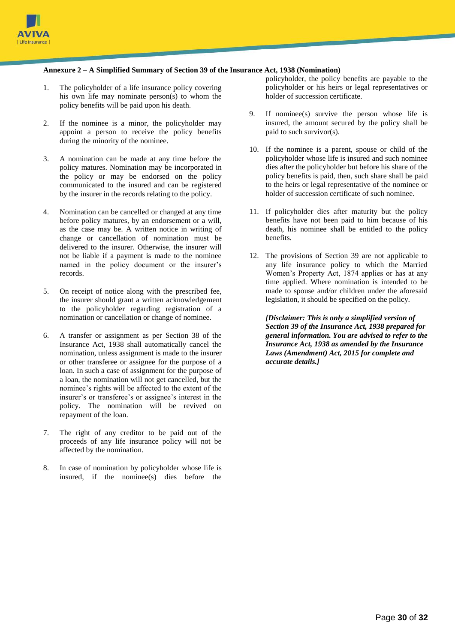

#### **Annexure 2 – A Simplified Summary of Section 39 of the Insurance Act, 1938 (Nomination)**

- 1. The policyholder of a life insurance policy covering his own life may nominate person(s) to whom the policy benefits will be paid upon his death.
- 2. If the nominee is a minor, the policyholder may appoint a person to receive the policy benefits during the minority of the nominee.
- 3. A nomination can be made at any time before the policy matures. Nomination may be incorporated in the policy or may be endorsed on the policy communicated to the insured and can be registered by the insurer in the records relating to the policy.
- 4. Nomination can be cancelled or changed at any time before policy matures, by an endorsement or a will, as the case may be. A written notice in writing of change or cancellation of nomination must be delivered to the insurer. Otherwise, the insurer will not be liable if a payment is made to the nominee named in the policy document or the insurer's records.
- 5. On receipt of notice along with the prescribed fee, the insurer should grant a written acknowledgement to the policyholder regarding registration of a nomination or cancellation or change of nominee.
- 6. A transfer or assignment as per Section 38 of the Insurance Act, 1938 shall automatically cancel the nomination, unless assignment is made to the insurer or other transferee or assignee for the purpose of a loan. In such a case of assignment for the purpose of a loan, the nomination will not get cancelled, but the nominee's rights will be affected to the extent of the insurer's or transferee's or assignee's interest in the policy. The nomination will be revived on repayment of the loan.
- 7. The right of any creditor to be paid out of the proceeds of any life insurance policy will not be affected by the nomination.
- 8. In case of nomination by policyholder whose life is insured, if the nominee(s) dies before the

policyholder, the policy benefits are payable to the policyholder or his heirs or legal representatives or holder of succession certificate.

- 9. If nominee(s) survive the person whose life is insured, the amount secured by the policy shall be paid to such survivor(s).
- 10. If the nominee is a parent, spouse or child of the policyholder whose life is insured and such nominee dies after the policyholder but before his share of the policy benefits is paid, then, such share shall be paid to the heirs or legal representative of the nominee or holder of succession certificate of such nominee.
- 11. If policyholder dies after maturity but the policy benefits have not been paid to him because of his death, his nominee shall be entitled to the policy benefits.
- 12. The provisions of Section 39 are not applicable to any life insurance policy to which the Married Women's Property Act, 1874 applies or has at any time applied. Where nomination is intended to be made to spouse and/or children under the aforesaid legislation, it should be specified on the policy.

*[Disclaimer: This is only a simplified version of Section 39 of the Insurance Act, 1938 prepared for general information. You are advised to refer to the Insurance Act, 1938 as amended by the Insurance Laws (Amendment) Act, 2015 for complete and accurate details.]*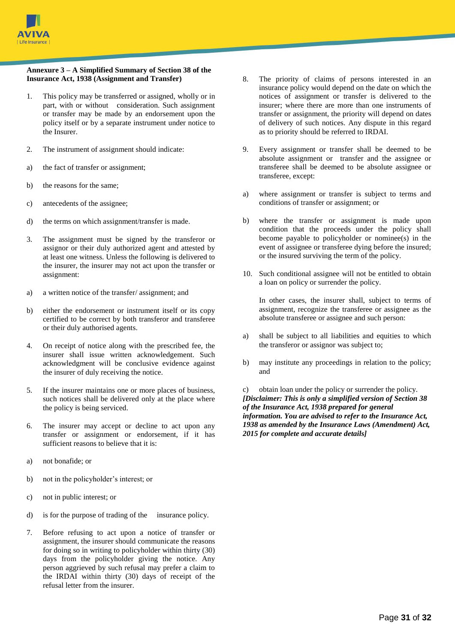

#### **Annexure 3 – A Simplified Summary of Section 38 of the Insurance Act, 1938 (Assignment and Transfer)**

- 1. This policy may be transferred or assigned, wholly or in part, with or without consideration. Such assignment or transfer may be made by an endorsement upon the policy itself or by a separate instrument under notice to the Insurer.
- 2. The instrument of assignment should indicate:
- a) the fact of transfer or assignment;
- b) the reasons for the same;
- c) antecedents of the assignee;
- d) the terms on which assignment/transfer is made.
- 3. The assignment must be signed by the transferor or assignor or their duly authorized agent and attested by at least one witness. Unless the following is delivered to the insurer, the insurer may not act upon the transfer or assignment:
- a) a written notice of the transfer/ assignment; and
- b) either the endorsement or instrument itself or its copy certified to be correct by both transferor and transferee or their duly authorised agents.
- 4. On receipt of notice along with the prescribed fee, the insurer shall issue written acknowledgement. Such acknowledgment will be conclusive evidence against the insurer of duly receiving the notice.
- 5. If the insurer maintains one or more places of business, such notices shall be delivered only at the place where the policy is being serviced.
- 6. The insurer may accept or decline to act upon any transfer or assignment or endorsement, if it has sufficient reasons to believe that it is:
- a) not bonafide; or
- b) not in the policyholder's interest; or
- c) not in public interest; or
- d) is for the purpose of trading of the insurance policy.
- 7. Before refusing to act upon a notice of transfer or assignment, the insurer should communicate the reasons for doing so in writing to policyholder within thirty (30) days from the policyholder giving the notice. Any person aggrieved by such refusal may prefer a claim to the IRDAI within thirty (30) days of receipt of the refusal letter from the insurer.
- 8. The priority of claims of persons interested in an insurance policy would depend on the date on which the notices of assignment or transfer is delivered to the insurer; where there are more than one instruments of transfer or assignment, the priority will depend on dates of delivery of such notices. Any dispute in this regard as to priority should be referred to IRDAI.
- 9. Every assignment or transfer shall be deemed to be absolute assignment or transfer and the assignee or transferee shall be deemed to be absolute assignee or transferee, except:
- a) where assignment or transfer is subject to terms and conditions of transfer or assignment; or
- b) where the transfer or assignment is made upon condition that the proceeds under the policy shall become payable to policyholder or nominee(s) in the event of assignee or transferee dying before the insured; or the insured surviving the term of the policy.
- 10. Such conditional assignee will not be entitled to obtain a loan on policy or surrender the policy.

In other cases, the insurer shall, subject to terms of assignment, recognize the transferee or assignee as the absolute transferee or assignee and such person:

- a) shall be subject to all liabilities and equities to which the transferor or assignor was subject to;
- b) may institute any proceedings in relation to the policy; and

c) obtain loan under the policy or surrender the policy. *[Disclaimer: This is only a simplified version of Section 38 of the Insurance Act, 1938 prepared for general information. You are advised to refer to the Insurance Act, 1938 as amended by the Insurance Laws (Amendment) Act, 2015 for complete and accurate details]*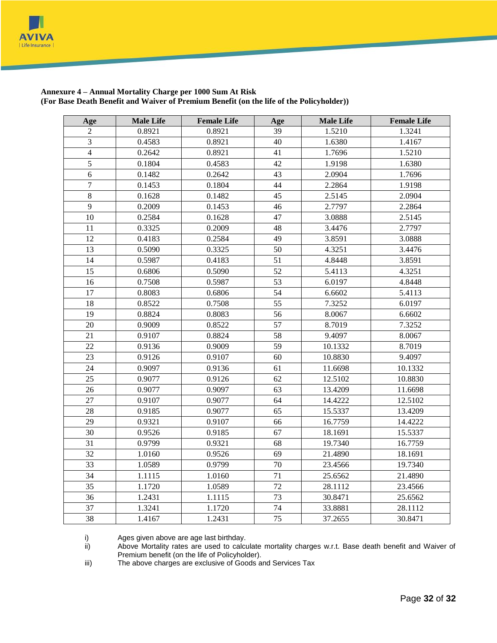

| Age            | <b>Male Life</b> | <b>Female Life</b> | Age          | <b>Male Life</b> | <b>Female Life</b> |  |
|----------------|------------------|--------------------|--------------|------------------|--------------------|--|
| 2              | 0.8921           | 0.8921             | 39<br>1.5210 |                  | 1.3241             |  |
| 3              | 0.4583           | 0.8921             | 40           | 1.6380           | 1.4167             |  |
| $\overline{4}$ | 0.2642           | 0.8921             | 41           | 1.7696           | 1.5210             |  |
| 5              | 0.1804           | 0.4583             | 42           | 1.9198           | 1.6380             |  |
| 6              | 0.1482           | 0.2642             | 43           | 2.0904           | 1.7696             |  |
| $\overline{7}$ | 0.1453           | 0.1804             | 44           | 2.2864           | 1.9198             |  |
| 8              | 0.1628           | 0.1482             | 45           | 2.5145           | 2.0904             |  |
| 9              | 0.2009           | 0.1453             | 46           | 2.7797           | 2.2864             |  |
| 10             | 0.2584           | 0.1628             | 47           | 3.0888           | 2.5145             |  |
| 11             | 0.3325           | 0.2009             | 48           | 3.4476           | 2.7797             |  |
| 12             | 0.4183           | 0.2584             | 49           | 3.8591           | 3.0888             |  |
| 13             | 0.5090           | 0.3325             | 50           | 4.3251           | 3.4476             |  |
| 14             | 0.5987           | 0.4183             | 51           | 4.8448           | 3.8591             |  |
| 15             | 0.6806           | 0.5090             | 52           | 5.4113           | 4.3251             |  |
| 16             | 0.7508           | 0.5987             | 53<br>6.0197 |                  | 4.8448             |  |
| 17             | 0.8083           | 0.6806             | 54           | 6.6602           | 5.4113             |  |
| 18             | 0.8522           | 0.7508             | 55           | 7.3252           | 6.0197             |  |
| 19             | 0.8824           | 0.8083             | 56           | 8.0067           | 6.6602             |  |
| 20             | 0.9009           | 0.8522             | 57           | 8.7019           | 7.3252             |  |
| 21             | 0.9107           | 0.8824             | 58           | 9.4097           | 8.0067             |  |
| 22             | 0.9136           | 0.9009             | 59           | 10.1332          | 8.7019             |  |
| 23             | 0.9126           | 0.9107             | 60           | 10.8830          | 9.4097             |  |
| 24             | 0.9097           | 0.9136             | 61           | 11.6698          | 10.1332            |  |
| 25             | 0.9077           | 0.9126<br>62       |              | 12.5102          | 10.8830            |  |
| 26             | 0.9077           | 0.9097             | 63           | 13.4209          | 11.6698            |  |
| 27             | 0.9107           | 0.9077             | 64           | 14.4222          | 12.5102            |  |
| 28             | 0.9185           | 0.9077             | 65           | 15.5337          | 13.4209            |  |
| 29             | 0.9321           | 0.9107             | 66           | 16.7759          | 14.4222            |  |
| 30             | 0.9526           | 0.9185             | 67           | 18.1691          | 15.5337            |  |
| 31             | 0.9799           | 0.9321             | 68           | 19.7340          | 16.7759            |  |
| 32             | 1.0160           | 0.9526             | 69           | 21.4890          | 18.1691            |  |
| 33             | 1.0589           | 0.9799             | 70           | 23.4566          | 19.7340            |  |
| 34             | 1.1115           | 1.0160             | 71           | 25.6562          | 21.4890            |  |
| 35             | 1.1720           | 1.0589             | 72           | 28.1112          | 23.4566            |  |
| 36             | 1.2431           | 1.1115             | 73           | 30.8471          | 25.6562            |  |
| 37             | 1.3241           | 1.1720             | 74           | 33.8881          | 28.1112            |  |
| 38             | 1.4167           | 1.2431             | 75           | 37.2655          | 30.8471            |  |

## **Annexure 4 – Annual Mortality Charge per 1000 Sum At Risk (For Base Death Benefit and Waiver of Premium Benefit (on the life of the Policyholder))**

i) Ages given above are age last birthday.

ii) Above Mortality rates are used to calculate mortality charges w.r.t. Base death benefit and Waiver of Premium benefit (on the life of Policyholder).

iii) The above charges are exclusive of Goods and Services Tax